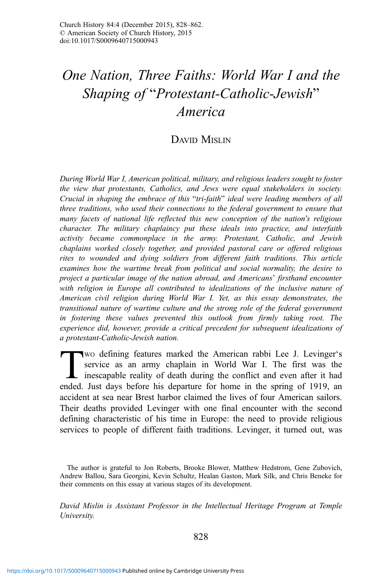# One Nation, Three Faiths: World War I and the Shaping of "Protestant-Catholic-Jewish" America

## DAVID MISLIN

During World War I, American political, military, and religious leaders sought to foster the view that protestants, Catholics, and Jews were equal stakeholders in society. Crucial in shaping the embrace of this "tri-faith" ideal were leading members of all three traditions, who used their connections to the federal government to ensure that many facets of national life reflected this new conception of the nation's religious character. The military chaplaincy put these ideals into practice, and interfaith activity became commonplace in the army. Protestant, Catholic, and Jewish chaplains worked closely together, and provided pastoral care or offered religious rites to wounded and dying soldiers from different faith traditions. This article examines how the wartime break from political and social normality, the desire to project a particular image of the nation abroad, and Americans' firsthand encounter with religion in Europe all contributed to idealizations of the inclusive nature of American civil religion during World War I. Yet, as this essay demonstrates, the transitional nature of wartime culture and the strong role of the federal government in fostering these values prevented this outlook from firmly taking root. The experience did, however, provide a critical precedent for subsequent idealizations of a protestant-Catholic-Jewish nation.

Two defining features marked the American rabbi Lee J. Levinger's<br>service as an army chaplain in World War I. The first was the<br>inescapable reality of death during the conflict and even after it had<br>ended Just days before service as an army chaplain in World War I. The first was the  $\mathsf{L}\,$  inescapable reality of death during the conflict and even after it had ended. Just days before his departure for home in the spring of 1919, an accident at sea near Brest harbor claimed the lives of four American sailors. Their deaths provided Levinger with one final encounter with the second defining characteristic of his time in Europe: the need to provide religious services to people of different faith traditions. Levinger, it turned out, was

David Mislin is Assistant Professor in the Intellectual Heritage Program at Temple University.

The author is grateful to Jon Roberts, Brooke Blower, Matthew Hedstrom, Gene Zubovich, Andrew Ballou, Sara Georgini, Kevin Schultz, Healan Gaston, Mark Silk, and Chris Beneke for their comments on this essay at various stages of its development.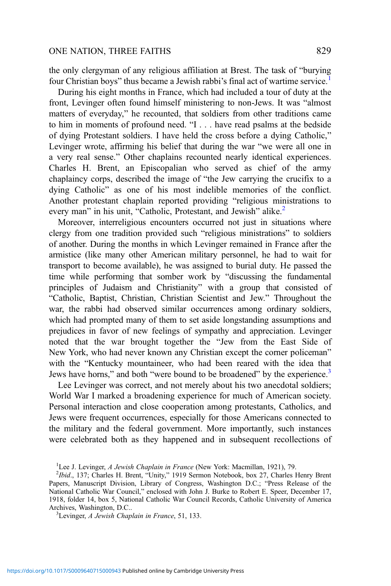the only clergyman of any religious affiliation at Brest. The task of "burying four Christian boys" thus became a Jewish rabbi's final act of wartime service.<sup>1</sup>

During his eight months in France, which had included a tour of duty at the front, Levinger often found himself ministering to non-Jews. It was "almost matters of everyday," he recounted, that soldiers from other traditions came to him in moments of profound need. "I . . . have read psalms at the bedside of dying Protestant soldiers. I have held the cross before a dying Catholic," Levinger wrote, affirming his belief that during the war "we were all one in a very real sense." Other chaplains recounted nearly identical experiences. Charles H. Brent, an Episcopalian who served as chief of the army chaplaincy corps, described the image of "the Jew carrying the crucifix to a dying Catholic" as one of his most indelible memories of the conflict. Another protestant chaplain reported providing "religious ministrations to every man" in his unit, "Catholic, Protestant, and Jewish" alike.<sup>2</sup>

Moreover, interreligious encounters occurred not just in situations where clergy from one tradition provided such "religious ministrations" to soldiers of another. During the months in which Levinger remained in France after the armistice (like many other American military personnel, he had to wait for transport to become available), he was assigned to burial duty. He passed the time while performing that somber work by "discussing the fundamental principles of Judaism and Christianity" with a group that consisted of "Catholic, Baptist, Christian, Christian Scientist and Jew." Throughout the war, the rabbi had observed similar occurrences among ordinary soldiers, which had prompted many of them to set aside longstanding assumptions and prejudices in favor of new feelings of sympathy and appreciation. Levinger noted that the war brought together the "Jew from the East Side of New York, who had never known any Christian except the corner policeman" with the "Kentucky mountaineer, who had been reared with the idea that Jews have horns," and both "were bound to be broadened" by the experience.<sup>3</sup>

Lee Levinger was correct, and not merely about his two anecdotal soldiers; World War I marked a broadening experience for much of American society. Personal interaction and close cooperation among protestants, Catholics, and Jews were frequent occurrences, especially for those Americans connected to the military and the federal government. More importantly, such instances were celebrated both as they happened and in subsequent recollections of

<sup>&</sup>lt;sup>1</sup>Lee J. Levinger, *A Jewish Chaplain in France* (New York: Macmillan, 1921), 79.<br><sup>2</sup>*Ibid* 137: Charles H. Brant. "Unity," 1919 Serman Notebook, box 27. Charles 1

 $2Ibid., 137; Charles H. Brent, "Unity," 1919 Serman Notebook, box 27, Charles Henry Brent$ Papers, Manuscript Division, Library of Congress, Washington D.C.; "Press Release of the National Catholic War Council," enclosed with John J. Burke to Robert E. Speer, December 17, 1918, folder 14, box 5, National Catholic War Council Records, Catholic University of America Archives, Washington, D.C.. <sup>3</sup>

 ${}^{3}$ Levinger, A Jewish Chaplain in France, 51, 133.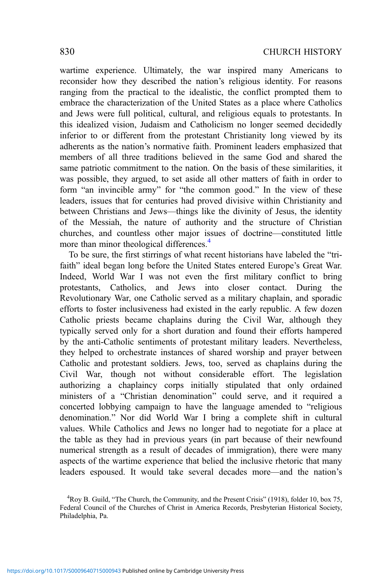wartime experience. Ultimately, the war inspired many Americans to reconsider how they described the nation's religious identity. For reasons ranging from the practical to the idealistic, the conflict prompted them to embrace the characterization of the United States as a place where Catholics and Jews were full political, cultural, and religious equals to protestants. In this idealized vision, Judaism and Catholicism no longer seemed decidedly inferior to or different from the protestant Christianity long viewed by its adherents as the nation's normative faith. Prominent leaders emphasized that members of all three traditions believed in the same God and shared the same patriotic commitment to the nation. On the basis of these similarities, it was possible, they argued, to set aside all other matters of faith in order to form "an invincible army" for "the common good." In the view of these leaders, issues that for centuries had proved divisive within Christianity and between Christians and Jews—things like the divinity of Jesus, the identity of the Messiah, the nature of authority and the structure of Christian churches, and countless other major issues of doctrine—constituted little more than minor theological differences.<sup>4</sup>

To be sure, the first stirrings of what recent historians have labeled the "trifaith" ideal began long before the United States entered Europe's Great War. Indeed, World War I was not even the first military conflict to bring protestants, Catholics, and Jews into closer contact. During the Revolutionary War, one Catholic served as a military chaplain, and sporadic efforts to foster inclusiveness had existed in the early republic. A few dozen Catholic priests became chaplains during the Civil War, although they typically served only for a short duration and found their efforts hampered by the anti-Catholic sentiments of protestant military leaders. Nevertheless, they helped to orchestrate instances of shared worship and prayer between Catholic and protestant soldiers. Jews, too, served as chaplains during the Civil War, though not without considerable effort. The legislation authorizing a chaplaincy corps initially stipulated that only ordained ministers of a "Christian denomination" could serve, and it required a concerted lobbying campaign to have the language amended to "religious denomination." Nor did World War I bring a complete shift in cultural values. While Catholics and Jews no longer had to negotiate for a place at the table as they had in previous years (in part because of their newfound numerical strength as a result of decades of immigration), there were many aspects of the wartime experience that belied the inclusive rhetoric that many leaders espoused. It would take several decades more—and the nation's

<sup>&</sup>lt;sup>4</sup>Roy B. Guild, "The Church, the Community, and the Present Crisis" (1918), folder 10, box 75, Federal Council of the Churches of Christ in America Records, Presbyterian Historical Society, Philadelphia, Pa.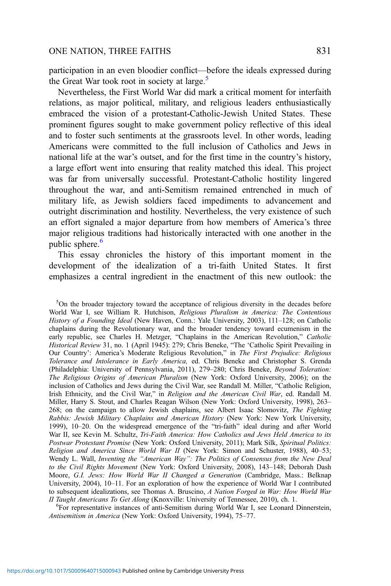participation in an even bloodier conflict—before the ideals expressed during the Great War took root in society at large.<sup>5</sup>

Nevertheless, the First World War did mark a critical moment for interfaith relations, as major political, military, and religious leaders enthusiastically embraced the vision of a protestant-Catholic-Jewish United States. These prominent figures sought to make government policy reflective of this ideal and to foster such sentiments at the grassroots level. In other words, leading Americans were committed to the full inclusion of Catholics and Jews in national life at the war's outset, and for the first time in the country's history, a large effort went into ensuring that reality matched this ideal. This project was far from universally successful. Protestant-Catholic hostility lingered throughout the war, and anti-Semitism remained entrenched in much of military life, as Jewish soldiers faced impediments to advancement and outright discrimination and hostility. Nevertheless, the very existence of such an effort signaled a major departure from how members of America's three major religious traditions had historically interacted with one another in the public sphere.<sup>6</sup>

This essay chronicles the history of this important moment in the development of the idealization of a tri-faith United States. It first emphasizes a central ingredient in the enactment of this new outlook: the

<sup>5</sup>On the broader trajectory toward the acceptance of religious diversity in the decades before World War I, see William R. Hutchison, Religious Pluralism in America: The Contentious History of a Founding Ideal (New Haven, Conn.: Yale University, 2003), 111-128; on Catholic chaplains during the Revolutionary war, and the broader tendency toward ecumenism in the early republic, see Charles H. Metzger, "Chaplains in the American Revolution," Catholic Historical Review 31, no. 1 (April 1945): 279; Chris Beneke, "The 'Catholic Spirit Prevailing in Our Country': America's Moderate Religious Revolution," in The First Prejudice: Religious Tolerance and Intolerance in Early America, ed. Chris Beneke and Christopher S. Grenda (Philadelphia: University of Pennsylvania, 2011), 279–280; Chris Beneke, Beyond Toleration: The Religious Origins of American Pluralism (New York: Oxford University, 2006); on the inclusion of Catholics and Jews during the Civil War, see Randall M. Miller, "Catholic Religion, Irish Ethnicity, and the Civil War," in Religion and the American Civil War, ed. Randall M. Miller, Harry S. Stout, and Charles Reagan Wilson (New York: Oxford University, 1998), 263– 268; on the campaign to allow Jewish chaplains, see Albert Isaac Slomovitz, The Fighting Rabbis: Jewish Military Chaplains and American History (New York: New York University, 1999), 10–20. On the widespread emergence of the "tri-faith" ideal during and after World War II, see Kevin M. Schultz, Tri-Faith America: How Catholics and Jews Held America to its Postwar Protestant Promise (New York: Oxford University, 2011); Mark Silk, Spiritual Politics: Religion and America Since World War II (New York: Simon and Schuster, 1988), 40–53; Wendy L. Wall, Inventing the "American Way": The Politics of Consensus from the New Deal to the Civil Rights Movement (New York: Oxford University, 2008), 143–148; Deborah Dash Moore, G.I. Jews: How World War II Changed a Generation (Cambridge, Mass.: Belknap University, 2004), 10–11. For an exploration of how the experience of World War I contributed to subsequent idealizations, see Thomas A. Bruscino, A Nation Forged in War: How World War II Taught Americans To Get Along (Knoxville: University of Tennessee, 2010), ch. 1.

For representative instances of anti-Semitism during World War I, see Leonard Dinnerstein, Antisemitism in America (New York: Oxford University, 1994), 75–77.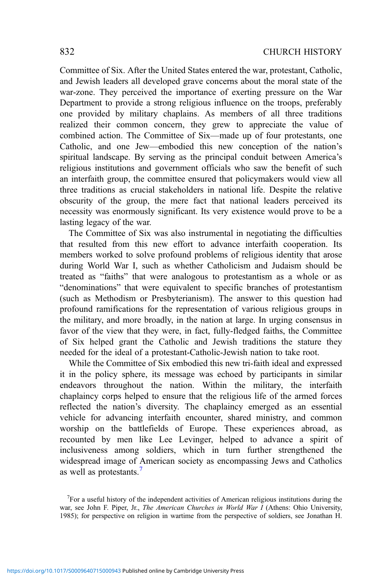Committee of Six. After the United States entered the war, protestant, Catholic, and Jewish leaders all developed grave concerns about the moral state of the war-zone. They perceived the importance of exerting pressure on the War Department to provide a strong religious influence on the troops, preferably one provided by military chaplains. As members of all three traditions realized their common concern, they grew to appreciate the value of combined action. The Committee of Six—made up of four protestants, one Catholic, and one Jew—embodied this new conception of the nation's spiritual landscape. By serving as the principal conduit between America's religious institutions and government officials who saw the benefit of such an interfaith group, the committee ensured that policymakers would view all three traditions as crucial stakeholders in national life. Despite the relative obscurity of the group, the mere fact that national leaders perceived its necessity was enormously significant. Its very existence would prove to be a lasting legacy of the war.

The Committee of Six was also instrumental in negotiating the difficulties that resulted from this new effort to advance interfaith cooperation. Its members worked to solve profound problems of religious identity that arose during World War I, such as whether Catholicism and Judaism should be treated as "faiths" that were analogous to protestantism as a whole or as "denominations" that were equivalent to specific branches of protestantism (such as Methodism or Presbyterianism). The answer to this question had profound ramifications for the representation of various religious groups in the military, and more broadly, in the nation at large. In urging consensus in favor of the view that they were, in fact, fully-fledged faiths, the Committee of Six helped grant the Catholic and Jewish traditions the stature they needed for the ideal of a protestant-Catholic-Jewish nation to take root.

While the Committee of Six embodied this new tri-faith ideal and expressed it in the policy sphere, its message was echoed by participants in similar endeavors throughout the nation. Within the military, the interfaith chaplaincy corps helped to ensure that the religious life of the armed forces reflected the nation's diversity. The chaplaincy emerged as an essential vehicle for advancing interfaith encounter, shared ministry, and common worship on the battlefields of Europe. These experiences abroad, as recounted by men like Lee Levinger, helped to advance a spirit of inclusiveness among soldiers, which in turn further strengthened the widespread image of American society as encompassing Jews and Catholics as well as protestants.<sup>7</sup>

 $7$  For a useful history of the independent activities of American religious institutions during the war, see John F. Piper, Jr., The American Churches in World War I (Athens: Ohio University, 1985); for perspective on religion in wartime from the perspective of soldiers, see Jonathan H.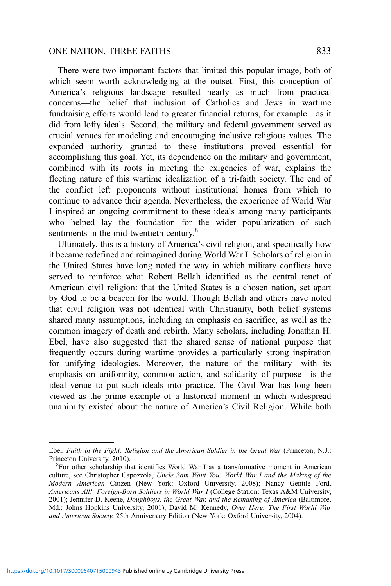#### ONE NATION, THREE FAITHS 833

There were two important factors that limited this popular image, both of which seem worth acknowledging at the outset. First, this conception of America's religious landscape resulted nearly as much from practical concerns—the belief that inclusion of Catholics and Jews in wartime fundraising efforts would lead to greater financial returns, for example—as it did from lofty ideals. Second, the military and federal government served as crucial venues for modeling and encouraging inclusive religious values. The expanded authority granted to these institutions proved essential for accomplishing this goal. Yet, its dependence on the military and government, combined with its roots in meeting the exigencies of war, explains the fleeting nature of this wartime idealization of a tri-faith society. The end of the conflict left proponents without institutional homes from which to continue to advance their agenda. Nevertheless, the experience of World War I inspired an ongoing commitment to these ideals among many participants who helped lay the foundation for the wider popularization of such sentiments in the mid-twentieth century.<sup>8</sup>

Ultimately, this is a history of America's civil religion, and specifically how it became redefined and reimagined during World War I. Scholars of religion in the United States have long noted the way in which military conflicts have served to reinforce what Robert Bellah identified as the central tenet of American civil religion: that the United States is a chosen nation, set apart by God to be a beacon for the world. Though Bellah and others have noted that civil religion was not identical with Christianity, both belief systems shared many assumptions, including an emphasis on sacrifice, as well as the common imagery of death and rebirth. Many scholars, including Jonathan H. Ebel, have also suggested that the shared sense of national purpose that frequently occurs during wartime provides a particularly strong inspiration for unifying ideologies. Moreover, the nature of the military—with its emphasis on uniformity, common action, and solidarity of purpose—is the ideal venue to put such ideals into practice. The Civil War has long been viewed as the prime example of a historical moment in which widespread unanimity existed about the nature of America's Civil Religion. While both

Ebel, Faith in the Fight: Religion and the American Soldier in the Great War (Princeton, N.J.: Princeton University, 2010).

<sup>&</sup>lt;sup>8</sup>For other scholarship that identifies World War I as a transformative moment in American culture, see Christopher Capozzola, Uncle Sam Want You: World War I and the Making of the Modern American Citizen (New York: Oxford University, 2008); Nancy Gentile Ford, Americans All!: Foreign-Born Soldiers in World War I (College Station: Texas A&M University, 2001); Jennifer D. Keene, *Doughboys, the Great War, and the Remaking of America* (Baltimore, Md.: Johns Hopkins University, 2001); David M. Kennedy, Over Here: The First World War and American Society, 25th Anniversary Edition (New York: Oxford University, 2004).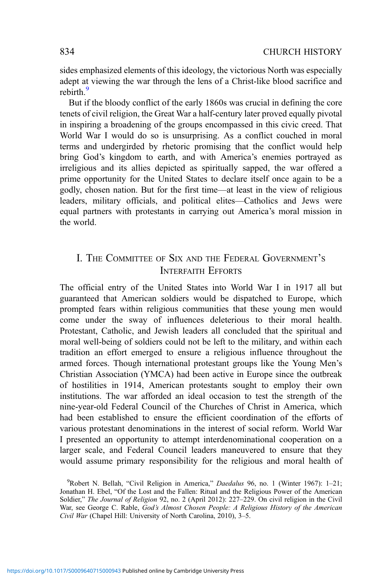sides emphasized elements of this ideology, the victorious North was especially adept at viewing the war through the lens of a Christ-like blood sacrifice and rebirth.<sup>9</sup>

But if the bloody conflict of the early 1860s was crucial in defining the core tenets of civil religion, the Great War a half-century later proved equally pivotal in inspiring a broadening of the groups encompassed in this civic creed. That World War I would do so is unsurprising. As a conflict couched in moral terms and undergirded by rhetoric promising that the conflict would help bring God's kingdom to earth, and with America's enemies portrayed as irreligious and its allies depicted as spiritually sapped, the war offered a prime opportunity for the United States to declare itself once again to be a godly, chosen nation. But for the first time—at least in the view of religious leaders, military officials, and political elites—Catholics and Jews were equal partners with protestants in carrying out America's moral mission in the world.

# I. THE COMMITTEE OF SIX AND THE FEDERAL GOVERNMENT'<sup>S</sup> INTERFAITH EFFORTS

The official entry of the United States into World War I in 1917 all but guaranteed that American soldiers would be dispatched to Europe, which prompted fears within religious communities that these young men would come under the sway of influences deleterious to their moral health. Protestant, Catholic, and Jewish leaders all concluded that the spiritual and moral well-being of soldiers could not be left to the military, and within each tradition an effort emerged to ensure a religious influence throughout the armed forces. Though international protestant groups like the Young Men's Christian Association (YMCA) had been active in Europe since the outbreak of hostilities in 1914, American protestants sought to employ their own institutions. The war afforded an ideal occasion to test the strength of the nine-year-old Federal Council of the Churches of Christ in America, which had been established to ensure the efficient coordination of the efforts of various protestant denominations in the interest of social reform. World War I presented an opportunity to attempt interdenominational cooperation on a larger scale, and Federal Council leaders maneuvered to ensure that they would assume primary responsibility for the religious and moral health of

<sup>&</sup>lt;sup>9</sup>Robert N. Bellah, "Civil Religion in America," Daedalus 96, no. 1 (Winter 1967): 1-21; Jonathan H. Ebel, "Of the Lost and the Fallen: Ritual and the Religious Power of the American Soldier," The Journal of Religion 92, no. 2 (April 2012): 227–229. On civil religion in the Civil War, see George C. Rable, God's Almost Chosen People: A Religious History of the American Civil War (Chapel Hill: University of North Carolina, 2010), 3–5.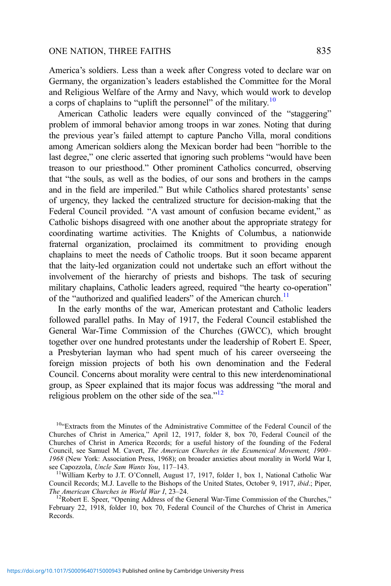#### ONE NATION, THREE FAITHS 835

America's soldiers. Less than a week after Congress voted to declare war on Germany, the organization's leaders established the Committee for the Moral and Religious Welfare of the Army and Navy, which would work to develop a corps of chaplains to "uplift the personnel" of the military.<sup>10</sup>

American Catholic leaders were equally convinced of the "staggering" problem of immoral behavior among troops in war zones. Noting that during the previous year's failed attempt to capture Pancho Villa, moral conditions among American soldiers along the Mexican border had been "horrible to the last degree," one cleric asserted that ignoring such problems "would have been treason to our priesthood." Other prominent Catholics concurred, observing that "the souls, as well as the bodies, of our sons and brothers in the camps and in the field are imperiled." But while Catholics shared protestants' sense of urgency, they lacked the centralized structure for decision-making that the Federal Council provided. "A vast amount of confusion became evident," as Catholic bishops disagreed with one another about the appropriate strategy for coordinating wartime activities. The Knights of Columbus, a nationwide fraternal organization, proclaimed its commitment to providing enough chaplains to meet the needs of Catholic troops. But it soon became apparent that the laity-led organization could not undertake such an effort without the involvement of the hierarchy of priests and bishops. The task of securing military chaplains, Catholic leaders agreed, required "the hearty co-operation" of the "authorized and qualified leaders" of the American church.<sup>11</sup>

In the early months of the war, American protestant and Catholic leaders followed parallel paths. In May of 1917, the Federal Council established the General War-Time Commission of the Churches (GWCC), which brought together over one hundred protestants under the leadership of Robert E. Speer, a Presbyterian layman who had spent much of his career overseeing the foreign mission projects of both his own denomination and the Federal Council. Concerns about morality were central to this new interdenominational group, as Speer explained that its major focus was addressing "the moral and religious problem on the other side of the sea."<sup>12</sup>

<sup>&</sup>lt;sup>10"</sup>Extracts from the Minutes of the Administrative Committee of the Federal Council of the Churches of Christ in America," April 12, 1917, folder 8, box 70, Federal Council of the Churches of Christ in America Records; for a useful history of the founding of the Federal Council, see Samuel M. Cavert, The American Churches in the Ecumenical Movement, 1900– 1968 (New York: Association Press, 1968); on broader anxieties about morality in World War I, see Capozzola, Uncle Sam Wants You, 117–143.<br><sup>11</sup>William Kerby to J.T. O'Connell, August 17, 1917, folder 1, box 1, National Catholic War

Council Records; M.J. Lavelle to the Bishops of the United States, October 9, 1917, *ibid.*; Piper, *The American Churches in World War I*, 23–24.

<sup>&</sup>lt;sup>12</sup>Robert E. Speer, "Opening Address of the General War-Time Commission of the Churches," February 22, 1918, folder 10, box 70, Federal Council of the Churches of Christ in America Records.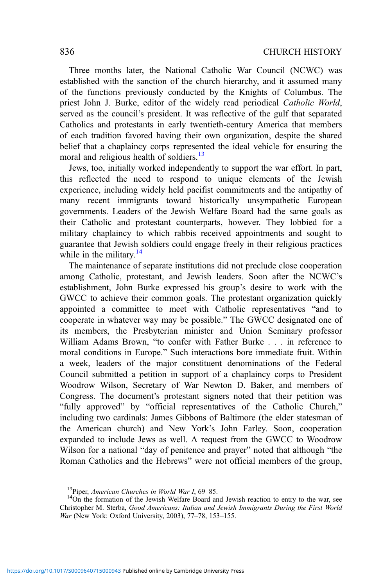Three months later, the National Catholic War Council (NCWC) was established with the sanction of the church hierarchy, and it assumed many of the functions previously conducted by the Knights of Columbus. The priest John J. Burke, editor of the widely read periodical Catholic World, served as the council's president. It was reflective of the gulf that separated Catholics and protestants in early twentieth-century America that members of each tradition favored having their own organization, despite the shared belief that a chaplaincy corps represented the ideal vehicle for ensuring the moral and religious health of soldiers.<sup>13</sup>

Jews, too, initially worked independently to support the war effort. In part, this reflected the need to respond to unique elements of the Jewish experience, including widely held pacifist commitments and the antipathy of many recent immigrants toward historically unsympathetic European governments. Leaders of the Jewish Welfare Board had the same goals as their Catholic and protestant counterparts, however. They lobbied for a military chaplaincy to which rabbis received appointments and sought to guarantee that Jewish soldiers could engage freely in their religious practices while in the military.<sup>14</sup>

The maintenance of separate institutions did not preclude close cooperation among Catholic, protestant, and Jewish leaders. Soon after the NCWC's establishment, John Burke expressed his group's desire to work with the GWCC to achieve their common goals. The protestant organization quickly appointed a committee to meet with Catholic representatives "and to cooperate in whatever way may be possible." The GWCC designated one of its members, the Presbyterian minister and Union Seminary professor William Adams Brown, "to confer with Father Burke . . . in reference to moral conditions in Europe." Such interactions bore immediate fruit. Within a week, leaders of the major constituent denominations of the Federal Council submitted a petition in support of a chaplaincy corps to President Woodrow Wilson, Secretary of War Newton D. Baker, and members of Congress. The document's protestant signers noted that their petition was "fully approved" by "official representatives of the Catholic Church," including two cardinals: James Gibbons of Baltimore (the elder statesman of the American church) and New York's John Farley. Soon, cooperation expanded to include Jews as well. A request from the GWCC to Woodrow Wilson for a national "day of penitence and prayer" noted that although "the Roman Catholics and the Hebrews" were not official members of the group,

<sup>&</sup>lt;sup>13</sup>Piper, *American Churches in World War I*, 69–85.  $14$ On the formation of the Jewish Welfare Board and Jewish reaction to entry to the war, see Christopher M. Sterba, Good Americans: Italian and Jewish Immigrants During the First World War (New York: Oxford University, 2003), 77–78, 153–155.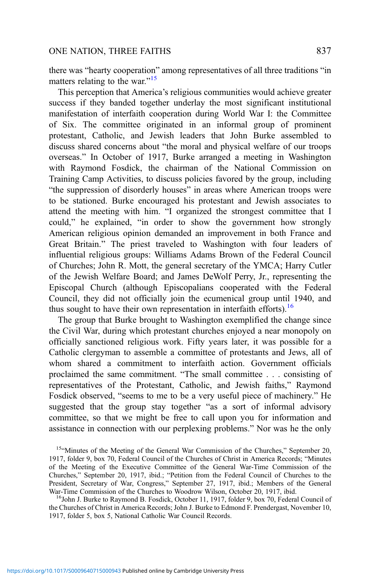there was "hearty cooperation" among representatives of all three traditions "in matters relating to the war."<sup>15</sup>

This perception that America's religious communities would achieve greater success if they banded together underlay the most significant institutional manifestation of interfaith cooperation during World War I: the Committee of Six. The committee originated in an informal group of prominent protestant, Catholic, and Jewish leaders that John Burke assembled to discuss shared concerns about "the moral and physical welfare of our troops overseas." In October of 1917, Burke arranged a meeting in Washington with Raymond Fosdick, the chairman of the National Commission on Training Camp Activities, to discuss policies favored by the group, including "the suppression of disorderly houses" in areas where American troops were to be stationed. Burke encouraged his protestant and Jewish associates to attend the meeting with him. "I organized the strongest committee that I could," he explained, "in order to show the government how strongly American religious opinion demanded an improvement in both France and Great Britain." The priest traveled to Washington with four leaders of influential religious groups: Williams Adams Brown of the Federal Council of Churches; John R. Mott, the general secretary of the YMCA; Harry Cutler of the Jewish Welfare Board; and James DeWolf Perry, Jr., representing the Episcopal Church (although Episcopalians cooperated with the Federal Council, they did not officially join the ecumenical group until 1940, and thus sought to have their own representation in interfaith efforts).<sup>16</sup>

The group that Burke brought to Washington exemplified the change since the Civil War, during which protestant churches enjoyed a near monopoly on officially sanctioned religious work. Fifty years later, it was possible for a Catholic clergyman to assemble a committee of protestants and Jews, all of whom shared a commitment to interfaith action. Government officials proclaimed the same commitment. "The small committee . . . consisting of representatives of the Protestant, Catholic, and Jewish faiths," Raymond Fosdick observed, "seems to me to be a very useful piece of machinery." He suggested that the group stay together "as a sort of informal advisory committee, so that we might be free to call upon you for information and assistance in connection with our perplexing problems." Nor was he the only

<sup>&</sup>lt;sup>15"</sup>Minutes of the Meeting of the General War Commission of the Churches," September 20, 1917, folder 9, box 70, Federal Council of the Churches of Christ in America Records; "Minutes of the Meeting of the Executive Committee of the General War-Time Commission of the Churches," September 20, 1917, ibid.; "Petition from the Federal Council of Churches to the President, Secretary of War, Congress," September 27, 1917, ibid.; Members of the General

<sup>&</sup>lt;sup>16</sup>John J. Burke to Raymond B. Fosdick, October 11, 1917, folder 9, box 70, Federal Council of the Churches of Christ in America Records; John J. Burke to Edmond F. Prendergast, November 10, 1917, folder 5, box 5, National Catholic War Council Records.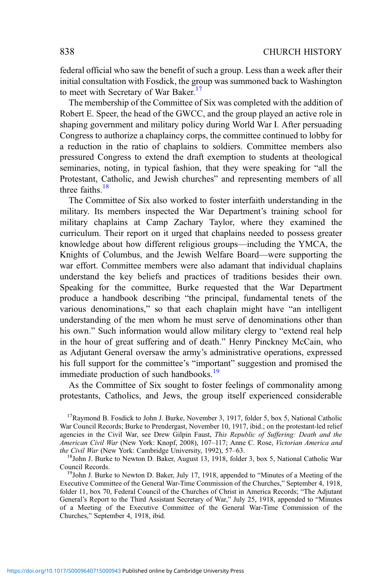federal official who saw the benefit of such a group. Less than a week after their initial consultation with Fosdick, the group was summoned back to Washington to meet with Secretary of War Baker.<sup>17</sup>

The membership of the Committee of Six was completed with the addition of Robert E. Speer, the head of the GWCC, and the group played an active role in shaping government and military policy during World War I. After persuading Congress to authorize a chaplaincy corps, the committee continued to lobby for a reduction in the ratio of chaplains to soldiers. Committee members also pressured Congress to extend the draft exemption to students at theological seminaries, noting, in typical fashion, that they were speaking for "all the Protestant, Catholic, and Jewish churches" and representing members of all three faiths.<sup>18</sup>

The Committee of Six also worked to foster interfaith understanding in the military. Its members inspected the War Department's training school for military chaplains at Camp Zachary Taylor, where they examined the curriculum. Their report on it urged that chaplains needed to possess greater knowledge about how different religious groups—including the YMCA, the Knights of Columbus, and the Jewish Welfare Board—were supporting the war effort. Committee members were also adamant that individual chaplains understand the key beliefs and practices of traditions besides their own. Speaking for the committee, Burke requested that the War Department produce a handbook describing "the principal, fundamental tenets of the various denominations," so that each chaplain might have "an intelligent understanding of the men whom he must serve of denominations other than his own." Such information would allow military clergy to "extend real help in the hour of great suffering and of death." Henry Pinckney McCain, who as Adjutant General oversaw the army's administrative operations, expressed his full support for the committee's "important" suggestion and promised the immediate production of such handbooks.<sup>19</sup>

As the Committee of Six sought to foster feelings of commonality among protestants, Catholics, and Jews, the group itself experienced considerable

<sup>17</sup>Raymond B. Fosdick to John J. Burke, November 3, 1917, folder 5, box 5, National Catholic War Council Records; Burke to Prendergast, November 10, 1917, ibid.; on the protestant-led relief agencies in the Civil War, see Drew Gilpin Faust, This Republic of Suffering: Death and the American Civil War (New York: Knopf, 2008), 107–117; Anne C. Rose, *Victorian America and the Civil War* (New York: Cambridge University, 1992), 57–63.

 $t^{18}$ John J. Burke to Newton D. Baker, August 13, 1918, folder 3, box 5, National Catholic War Council Records.

<sup>&</sup>lt;sup>19</sup>John J. Burke to Newton D. Baker, July 17, 1918, appended to "Minutes of a Meeting of the Executive Committee of the General War-Time Commission of the Churches," September 4, 1918, folder 11, box 70, Federal Council of the Churches of Christ in America Records; "The Adjutant General's Report to the Third Assistant Secretary of War," July 25, 1918, appended to "Minutes of a Meeting of the Executive Committee of the General War-Time Commission of the Churches," September 4, 1918, ibid.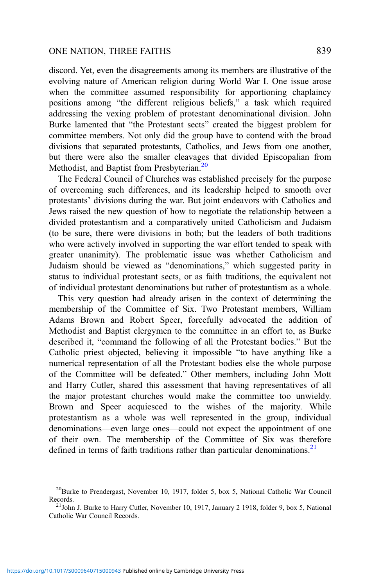discord. Yet, even the disagreements among its members are illustrative of the evolving nature of American religion during World War I. One issue arose when the committee assumed responsibility for apportioning chaplaincy positions among "the different religious beliefs," a task which required addressing the vexing problem of protestant denominational division. John Burke lamented that "the Protestant sects" created the biggest problem for committee members. Not only did the group have to contend with the broad divisions that separated protestants, Catholics, and Jews from one another, but there were also the smaller cleavages that divided Episcopalian from Methodist, and Baptist from Presbyterian.<sup>20</sup>

The Federal Council of Churches was established precisely for the purpose of overcoming such differences, and its leadership helped to smooth over protestants' divisions during the war. But joint endeavors with Catholics and Jews raised the new question of how to negotiate the relationship between a divided protestantism and a comparatively united Catholicism and Judaism (to be sure, there were divisions in both; but the leaders of both traditions who were actively involved in supporting the war effort tended to speak with greater unanimity). The problematic issue was whether Catholicism and Judaism should be viewed as "denominations," which suggested parity in status to individual protestant sects, or as faith traditions, the equivalent not of individual protestant denominations but rather of protestantism as a whole.

This very question had already arisen in the context of determining the membership of the Committee of Six. Two Protestant members, William Adams Brown and Robert Speer, forcefully advocated the addition of Methodist and Baptist clergymen to the committee in an effort to, as Burke described it, "command the following of all the Protestant bodies." But the Catholic priest objected, believing it impossible "to have anything like a numerical representation of all the Protestant bodies else the whole purpose of the Committee will be defeated." Other members, including John Mott and Harry Cutler, shared this assessment that having representatives of all the major protestant churches would make the committee too unwieldy. Brown and Speer acquiesced to the wishes of the majority. While protestantism as a whole was well represented in the group, individual denominations—even large ones—could not expect the appointment of one of their own. The membership of the Committee of Six was therefore defined in terms of faith traditions rather than particular denominations.<sup>21</sup>

<sup>20</sup>Burke to Prendergast, November 10, 1917, folder 5, box 5, National Catholic War Council Records.<br><sup>21</sup>John J. Burke to Harry Cutler, November 10, 1917, January 2 1918, folder 9, box 5, National

Catholic War Council Records.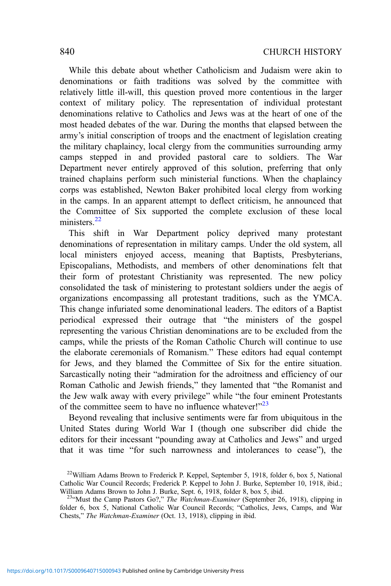While this debate about whether Catholicism and Judaism were akin to denominations or faith traditions was solved by the committee with relatively little ill-will, this question proved more contentious in the larger context of military policy. The representation of individual protestant denominations relative to Catholics and Jews was at the heart of one of the most headed debates of the war. During the months that elapsed between the army's initial conscription of troops and the enactment of legislation creating the military chaplaincy, local clergy from the communities surrounding army camps stepped in and provided pastoral care to soldiers. The War Department never entirely approved of this solution, preferring that only trained chaplains perform such ministerial functions. When the chaplaincy corps was established, Newton Baker prohibited local clergy from working in the camps. In an apparent attempt to deflect criticism, he announced that the Committee of Six supported the complete exclusion of these local ministers.<sup>22</sup>

This shift in War Department policy deprived many protestant denominations of representation in military camps. Under the old system, all local ministers enjoyed access, meaning that Baptists, Presbyterians, Episcopalians, Methodists, and members of other denominations felt that their form of protestant Christianity was represented. The new policy consolidated the task of ministering to protestant soldiers under the aegis of organizations encompassing all protestant traditions, such as the YMCA. This change infuriated some denominational leaders. The editors of a Baptist periodical expressed their outrage that "the ministers of the gospel representing the various Christian denominations are to be excluded from the camps, while the priests of the Roman Catholic Church will continue to use the elaborate ceremonials of Romanism." These editors had equal contempt for Jews, and they blamed the Committee of Six for the entire situation. Sarcastically noting their "admiration for the adroitness and efficiency of our Roman Catholic and Jewish friends," they lamented that "the Romanist and the Jew walk away with every privilege" while "the four eminent Protestants of the committee seem to have no influence whatever!"<sup>23</sup>

Beyond revealing that inclusive sentiments were far from ubiquitous in the United States during World War I (though one subscriber did chide the editors for their incessant "pounding away at Catholics and Jews" and urged that it was time "for such narrowness and intolerances to cease"), the

<sup>&</sup>lt;sup>22</sup>William Adams Brown to Frederick P. Keppel, September 5, 1918, folder 6, box 5, National Catholic War Council Records; Frederick P. Keppel to John J. Burke, September 10, 1918, ibid.;

<sup>&</sup>lt;sup>23"</sup>Must the Camp Pastors Go?," The Watchman-Examiner (September 26, 1918), clipping in folder 6, box 5, National Catholic War Council Records; "Catholics, Jews, Camps, and War Chests," The Watchman-Examiner (Oct. 13, 1918), clipping in ibid.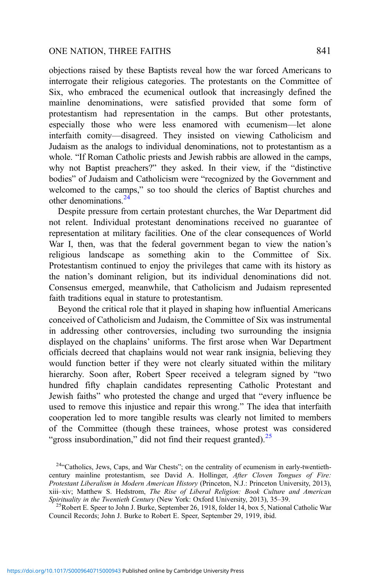objections raised by these Baptists reveal how the war forced Americans to interrogate their religious categories. The protestants on the Committee of Six, who embraced the ecumenical outlook that increasingly defined the mainline denominations, were satisfied provided that some form of protestantism had representation in the camps. But other protestants, especially those who were less enamored with ecumenism—let alone interfaith comity—disagreed. They insisted on viewing Catholicism and Judaism as the analogs to individual denominations, not to protestantism as a whole. "If Roman Catholic priests and Jewish rabbis are allowed in the camps, why not Baptist preachers?" they asked. In their view, if the "distinctive bodies" of Judaism and Catholicism were "recognized by the Government and welcomed to the camps," so too should the clerics of Baptist churches and other denominations. $24$ 

Despite pressure from certain protestant churches, the War Department did not relent. Individual protestant denominations received no guarantee of representation at military facilities. One of the clear consequences of World War I, then, was that the federal government began to view the nation's religious landscape as something akin to the Committee of Six. Protestantism continued to enjoy the privileges that came with its history as the nation's dominant religion, but its individual denominations did not. Consensus emerged, meanwhile, that Catholicism and Judaism represented faith traditions equal in stature to protestantism.

Beyond the critical role that it played in shaping how influential Americans conceived of Catholicism and Judaism, the Committee of Six was instrumental in addressing other controversies, including two surrounding the insignia displayed on the chaplains' uniforms. The first arose when War Department officials decreed that chaplains would not wear rank insignia, believing they would function better if they were not clearly situated within the military hierarchy. Soon after, Robert Speer received a telegram signed by "two hundred fifty chaplain candidates representing Catholic Protestant and Jewish faiths" who protested the change and urged that "every influence be used to remove this injustice and repair this wrong." The idea that interfaith cooperation led to more tangible results was clearly not limited to members of the Committee (though these trainees, whose protest was considered "gross insubordination," did not find their request granted). $25$ 

<sup>&</sup>lt;sup>24</sup>"Catholics, Jews, Caps, and War Chests"; on the centrality of ecumenism in early-twentiethcentury mainline protestantism, see David A. Hollinger, After Cloven Tongues of Fire: Protestant Liberalism in Modern American History (Princeton, N.J.: Princeton University, 2013), xiii–xiv; Matthew S. Hedstrom, *The Rise of Liberal Religion: Book Culture and American* Spirituality in the Twentieth Century (New York: Oxford University, 2013), 35–39.

<sup>&</sup>lt;sup>25</sup>Robert E. Speer to John J. Burke, September 26, 1918, folder 14, box 5, National Catholic War Council Records; John J. Burke to Robert E. Speer, September 29, 1919, ibid.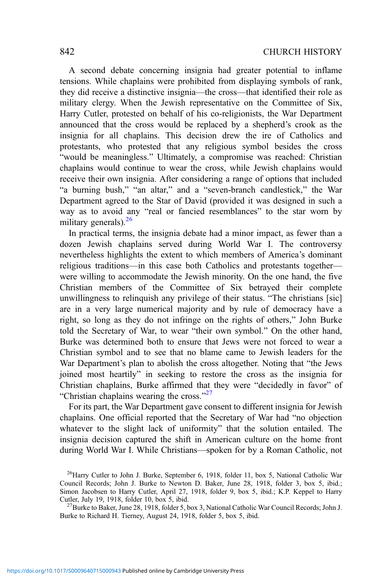A second debate concerning insignia had greater potential to inflame tensions. While chaplains were prohibited from displaying symbols of rank, they did receive a distinctive insignia—the cross—that identified their role as military clergy. When the Jewish representative on the Committee of Six, Harry Cutler, protested on behalf of his co-religionists, the War Department announced that the cross would be replaced by a shepherd's crook as the insignia for all chaplains. This decision drew the ire of Catholics and protestants, who protested that any religious symbol besides the cross "would be meaningless." Ultimately, a compromise was reached: Christian chaplains would continue to wear the cross, while Jewish chaplains would receive their own insignia. After considering a range of options that included "a burning bush," "an altar," and a "seven-branch candlestick," the War Department agreed to the Star of David (provided it was designed in such a way as to avoid any "real or fancied resemblances" to the star worn by military generals).<sup>26</sup>

In practical terms, the insignia debate had a minor impact, as fewer than a dozen Jewish chaplains served during World War I. The controversy nevertheless highlights the extent to which members of America's dominant religious traditions—in this case both Catholics and protestants together were willing to accommodate the Jewish minority. On the one hand, the five Christian members of the Committee of Six betrayed their complete unwillingness to relinquish any privilege of their status. "The christians [sic] are in a very large numerical majority and by rule of democracy have a right, so long as they do not infringe on the rights of others," John Burke told the Secretary of War, to wear "their own symbol." On the other hand, Burke was determined both to ensure that Jews were not forced to wear a Christian symbol and to see that no blame came to Jewish leaders for the War Department's plan to abolish the cross altogether. Noting that "the Jews joined most heartily" in seeking to restore the cross as the insignia for Christian chaplains, Burke affirmed that they were "decidedly in favor" of "Christian chaplains wearing the cross."<sup>27</sup>

For its part, the War Department gave consent to different insignia for Jewish chaplains. One official reported that the Secretary of War had "no objection whatever to the slight lack of uniformity" that the solution entailed. The insignia decision captured the shift in American culture on the home front during World War I. While Christians—spoken for by a Roman Catholic, not

 $^{26}$ Harry Cutler to John J. Burke, September 6, 1918, folder 11, box 5, National Catholic War Council Records; John J. Burke to Newton D. Baker, June 28, 1918, folder 3, box 5, ibid.; Simon Jacobsen to Harry Cutler, April 27, 1918, folder 9, box 5, ibid.; K.P. Keppel to Harry

<sup>&</sup>lt;sup>27</sup>Burke to Baker, June 28, 1918, folder 5, box 3, National Catholic War Council Records; John J. Burke to Richard H. Tierney, August 24, 1918, folder 5, box 5, ibid.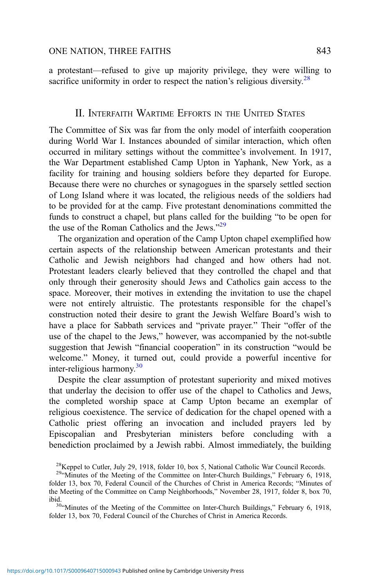a protestant—refused to give up majority privilege, they were willing to sacrifice uniformity in order to respect the nation's religious diversity.<sup>28</sup>

## II. INTERFAITH WARTIME EFFORTS IN THE UNITED STATES

The Committee of Six was far from the only model of interfaith cooperation during World War I. Instances abounded of similar interaction, which often occurred in military settings without the committee's involvement. In 1917, the War Department established Camp Upton in Yaphank, New York, as a facility for training and housing soldiers before they departed for Europe. Because there were no churches or synagogues in the sparsely settled section of Long Island where it was located, the religious needs of the soldiers had to be provided for at the camp. Five protestant denominations committed the funds to construct a chapel, but plans called for the building "to be open for the use of the Roman Catholics and the Jews."<sup>29</sup>

The organization and operation of the Camp Upton chapel exemplified how certain aspects of the relationship between American protestants and their Catholic and Jewish neighbors had changed and how others had not. Protestant leaders clearly believed that they controlled the chapel and that only through their generosity should Jews and Catholics gain access to the space. Moreover, their motives in extending the invitation to use the chapel were not entirely altruistic. The protestants responsible for the chapel's construction noted their desire to grant the Jewish Welfare Board's wish to have a place for Sabbath services and "private prayer." Their "offer of the use of the chapel to the Jews," however, was accompanied by the not-subtle suggestion that Jewish "financial cooperation" in its construction "would be welcome." Money, it turned out, could provide a powerful incentive for inter-religious harmony.<sup>30</sup>

Despite the clear assumption of protestant superiority and mixed motives that underlay the decision to offer use of the chapel to Catholics and Jews, the completed worship space at Camp Upton became an exemplar of religious coexistence. The service of dedication for the chapel opened with a Catholic priest offering an invocation and included prayers led by Episcopalian and Presbyterian ministers before concluding with a benediction proclaimed by a Jewish rabbi. Almost immediately, the building

folder 13, box 70, Federal Council of the Churches of Christ in America Records.

<sup>&</sup>lt;sup>28</sup>Keppel to Cutler, July 29, 1918, folder 10, box 5, National Catholic War Council Records. <sup>29"</sup>Minutes of the Meeting of the Committee on Inter-Church Buildings," February 6, 1918, folder 13, box 70, Federal Council of the Churches of Christ in America Records; "Minutes of the Meeting of the Committee on Camp Neighborhoods," November 28, 1917, folder 8, box 70, ibid.  $30$ <sup>4</sup>Minutes of the Meeting of the Committee on Inter-Church Buildings," February 6, 1918,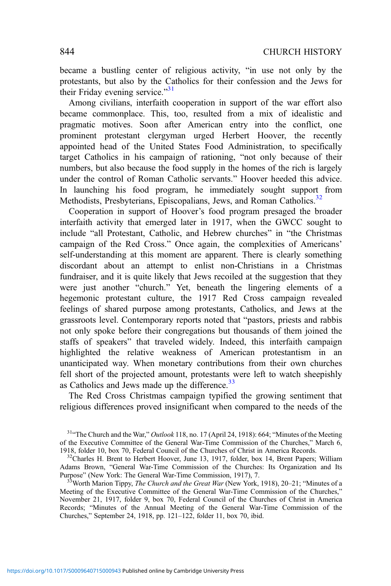became a bustling center of religious activity, "in use not only by the protestants, but also by the Catholics for their confession and the Jews for their Friday evening service."<sup>31</sup>

Among civilians, interfaith cooperation in support of the war effort also became commonplace. This, too, resulted from a mix of idealistic and pragmatic motives. Soon after American entry into the conflict, one prominent protestant clergyman urged Herbert Hoover, the recently appointed head of the United States Food Administration, to specifically target Catholics in his campaign of rationing, "not only because of their numbers, but also because the food supply in the homes of the rich is largely under the control of Roman Catholic servants." Hoover heeded this advice. In launching his food program, he immediately sought support from Methodists, Presbyterians, Episcopalians, Jews, and Roman Catholics.<sup>32</sup>

Cooperation in support of Hoover's food program presaged the broader interfaith activity that emerged later in 1917, when the GWCC sought to include "all Protestant, Catholic, and Hebrew churches" in "the Christmas campaign of the Red Cross." Once again, the complexities of Americans' self-understanding at this moment are apparent. There is clearly something discordant about an attempt to enlist non-Christians in a Christmas fundraiser, and it is quite likely that Jews recoiled at the suggestion that they were just another "church." Yet, beneath the lingering elements of a hegemonic protestant culture, the 1917 Red Cross campaign revealed feelings of shared purpose among protestants, Catholics, and Jews at the grassroots level. Contemporary reports noted that "pastors, priests and rabbis not only spoke before their congregations but thousands of them joined the staffs of speakers" that traveled widely. Indeed, this interfaith campaign highlighted the relative weakness of American protestantism in an unanticipated way. When monetary contributions from their own churches fell short of the projected amount, protestants were left to watch sheepishly as Catholics and Jews made up the difference.<sup>33</sup>

The Red Cross Christmas campaign typified the growing sentiment that religious differences proved insignificant when compared to the needs of the

<sup>&</sup>lt;sup>31</sup> The Church and the War," *Outlook* 118, no. 17 (April 24, 1918): 664; "Minutes of the Meeting" of the Executive Committee of the General War-Time Commission of the Churches," March  $\overline{6}$ , 1918, folder 10, box 70, Federal Council of the Churches of Christ in America Records.

<sup>&</sup>lt;sup>32</sup>Charles H. Brent to Herbert Hoover, June 13, 1917, folder, box 14, Brent Papers; William Adams Brown, "General War-Time Commission of the Churches: Its Organization and Its

<sup>&</sup>lt;sup>33</sup> Worth Marion Tippy, *The Church and the Great War* (New York, 1918), 20–21; "Minutes of a Meeting of the Executive Committee of the General War-Time Commission of the Churches," November 21, 1917, folder 9, box 70, Federal Council of the Churches of Christ in America Records; "Minutes of the Annual Meeting of the General War-Time Commission of the Churches," September 24, 1918, pp. 121–122, folder 11, box 70, ibid.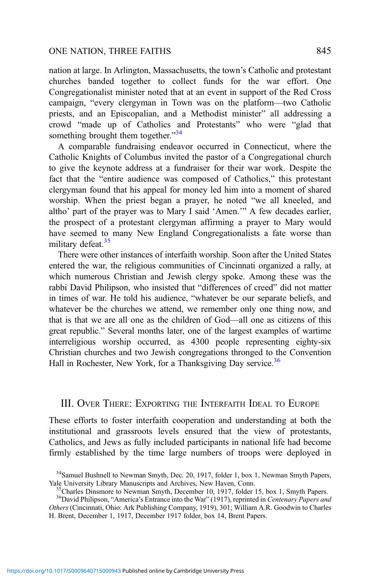#### ONE NATION, THREE FAITHS 845

nation at large. In Arlington, Massachusetts, the town's Catholic and protestant churches banded together to collect funds for the war effort. One Congregationalist minister noted that at an event in support of the Red Cross campaign, "every clergyman in Town was on the platform—two Catholic priests, and an Episcopalian, and a Methodist minister" all addressing a crowd "made up of Catholics and Protestants" who were "glad that something brought them together."<sup>34</sup>

A comparable fundraising endeavor occurred in Connecticut, where the Catholic Knights of Columbus invited the pastor of a Congregational church to give the keynote address at a fundraiser for their war work. Despite the fact that the "entire audience was composed of Catholics," this protestant clergyman found that his appeal for money led him into a moment of shared worship. When the priest began a prayer, he noted "we all kneeled, and altho' part of the prayer was to Mary I said 'Amen.'" A few decades earlier, the prospect of a protestant clergyman affirming a prayer to Mary would have seemed to many New England Congregationalists a fate worse than military defeat.<sup>35</sup>

There were other instances of interfaith worship. Soon after the United States entered the war, the religious communities of Cincinnati organized a rally, at which numerous Christian and Jewish clergy spoke. Among these was the rabbi David Philipson, who insisted that "differences of creed" did not matter in times of war. He told his audience, "whatever be our separate beliefs, and whatever be the churches we attend, we remember only one thing now, and that is that we are all one as the children of God—all one as citizens of this great republic." Several months later, one of the largest examples of wartime interreligious worship occurred, as 4300 people representing eighty-six Christian churches and two Jewish congregations thronged to the Convention Hall in Rochester, New York, for a Thanksgiving Day service.<sup>36</sup>

## III. OVER THERE: EXPORTING THE INTERFAITH IDEAL TO EUROPE

These efforts to foster interfaith cooperation and understanding at both the institutional and grassroots levels ensured that the view of protestants, Catholics, and Jews as fully included participants in national life had become firmly established by the time large numbers of troops were deployed in

 $34$ Samuel Bushnell to Newman Smyth, Dec. 20, 1917, folder 1, box 1, Newman Smyth Papers, Yale University Library Manuscripts and Archives, New Haven, Conn.

<sup>&</sup>lt;sup>35</sup>Charles Dinsmore to Newman Smyth, December 10, 1917, folder 15, box 1, Smyth Papers.<br><sup>36</sup>David Philipson, "America's Entrance into the War" (1917), reprinted in *Centenary Papers and* 

Others (Cincinnati, Ohio: Ark Publishing Company, 1919), 301; William A.R. Goodwin to Charles H. Brent, December 1, 1917, December 1917 folder, box 14, Brent Papers.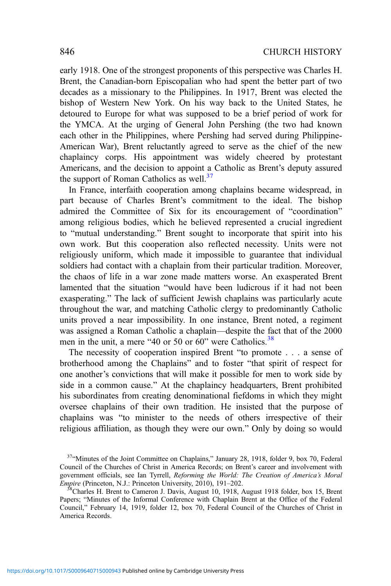early 1918. One of the strongest proponents of this perspective was Charles H. Brent, the Canadian-born Episcopalian who had spent the better part of two decades as a missionary to the Philippines. In 1917, Brent was elected the bishop of Western New York. On his way back to the United States, he detoured to Europe for what was supposed to be a brief period of work for the YMCA. At the urging of General John Pershing (the two had known each other in the Philippines, where Pershing had served during Philippine-American War), Brent reluctantly agreed to serve as the chief of the new chaplaincy corps. His appointment was widely cheered by protestant Americans, and the decision to appoint a Catholic as Brent's deputy assured the support of Roman Catholics as well.<sup>37</sup>

In France, interfaith cooperation among chaplains became widespread, in part because of Charles Brent's commitment to the ideal. The bishop admired the Committee of Six for its encouragement of "coordination" among religious bodies, which he believed represented a crucial ingredient to "mutual understanding." Brent sought to incorporate that spirit into his own work. But this cooperation also reflected necessity. Units were not religiously uniform, which made it impossible to guarantee that individual soldiers had contact with a chaplain from their particular tradition. Moreover, the chaos of life in a war zone made matters worse. An exasperated Brent lamented that the situation "would have been ludicrous if it had not been exasperating." The lack of sufficient Jewish chaplains was particularly acute throughout the war, and matching Catholic clergy to predominantly Catholic units proved a near impossibility. In one instance, Brent noted, a regiment was assigned a Roman Catholic a chaplain—despite the fact that of the 2000 men in the unit, a mere "40 or 50 or 60" were Catholics.<sup>38</sup>

The necessity of cooperation inspired Brent "to promote . . . a sense of brotherhood among the Chaplains" and to foster "that spirit of respect for one another's convictions that will make it possible for men to work side by side in a common cause." At the chaplaincy headquarters, Brent prohibited his subordinates from creating denominational fiefdoms in which they might oversee chaplains of their own tradition. He insisted that the purpose of chaplains was "to minister to the needs of others irrespective of their religious affiliation, as though they were our own." Only by doing so would

<sup>&</sup>lt;sup>37</sup>"Minutes of the Joint Committee on Chaplains," January 28, 1918, folder 9, box 70, Federal Council of the Churches of Christ in America Records; on Brent's career and involvement with government officials, see Ian Tyrrell, Reforming the World: The Creation of America's Moral Empire (Princeton, N.J.: Princeton University, 2010), 191-202.

 $^{38}$ Charles H. Brent to Cameron J. Davis, August 10, 1918, August 1918 folder, box 15, Brent Papers; "Minutes of the Informal Conference with Chaplain Brent at the Office of the Federal Council," February 14, 1919, folder 12, box 70, Federal Council of the Churches of Christ in America Records.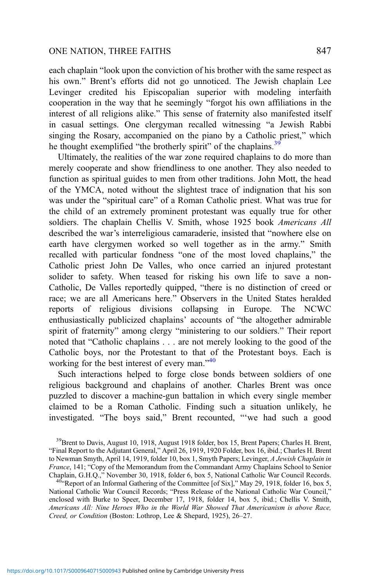each chaplain "look upon the conviction of his brother with the same respect as his own." Brent's efforts did not go unnoticed. The Jewish chaplain Lee Levinger credited his Episcopalian superior with modeling interfaith cooperation in the way that he seemingly "forgot his own affiliations in the interest of all religions alike." This sense of fraternity also manifested itself in casual settings. One clergyman recalled witnessing "a Jewish Rabbi singing the Rosary, accompanied on the piano by a Catholic priest," which he thought exemplified "the brotherly spirit" of the chaplains.<sup>39</sup>

Ultimately, the realities of the war zone required chaplains to do more than merely cooperate and show friendliness to one another. They also needed to function as spiritual guides to men from other traditions. John Mott, the head of the YMCA, noted without the slightest trace of indignation that his son was under the "spiritual care" of a Roman Catholic priest. What was true for the child of an extremely prominent protestant was equally true for other soldiers. The chaplain Chellis V. Smith, whose 1925 book Americans All described the war's interreligious camaraderie, insisted that "nowhere else on earth have clergymen worked so well together as in the army." Smith recalled with particular fondness "one of the most loved chaplains," the Catholic priest John De Valles, who once carried an injured protestant solider to safety. When teased for risking his own life to save a non-Catholic, De Valles reportedly quipped, "there is no distinction of creed or race; we are all Americans here." Observers in the United States heralded reports of religious divisions collapsing in Europe. The NCWC enthusiastically publicized chaplains' accounts of "the altogether admirable spirit of fraternity" among clergy "ministering to our soldiers." Their report noted that "Catholic chaplains . . . are not merely looking to the good of the Catholic boys, nor the Protestant to that of the Protestant boys. Each is working for the best interest of every man."<sup>40</sup>

Such interactions helped to forge close bonds between soldiers of one religious background and chaplains of another. Charles Brent was once puzzled to discover a machine-gun battalion in which every single member claimed to be a Roman Catholic. Finding such a situation unlikely, he investigated. "The boys said," Brent recounted, "'we had such a good

 $\frac{40.4}{10}$  Report of an Informal Gathering of the Committee [of Six]," May 29, 1918, folder 16, box 5, National Catholic War Council Records; "Press Release of the National Catholic War Council," enclosed with Burke to Speer, December 17, 1918, folder 14, box 5, ibid.; Chellis V. Smith, Americans All: Nine Heroes Who in the World War Showed That Americanism is above Race, Creed, or Condition (Boston: Lothrop, Lee & Shepard, 1925), 26–27.

<sup>&</sup>lt;sup>39</sup>Brent to Davis, August 10, 1918, August 1918 folder, box 15, Brent Papers; Charles H. Brent, "Final Report to the Adjutant General," April 26, 1919, 1920 Folder, box 16, ibid.; Charles H. Brent to Newman Smyth, April 14, 1919, folder 10, box 1, Smyth Papers; Levinger, A Jewish Chaplain in France, 141; "Copy of the Memorandum from the Commandant Army Chaplains School to Senior Chaplain, G.H.Q.," November 30, 1918, folder 6, box 5, National Catholic War Council Records.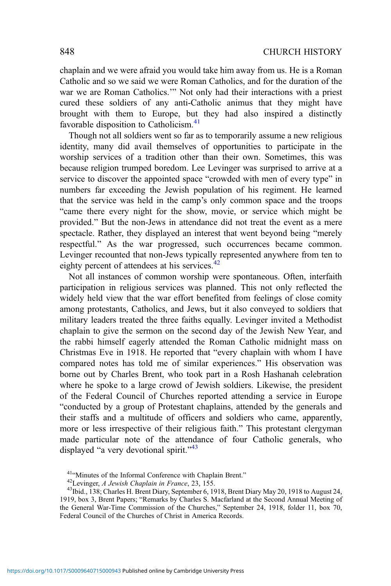chaplain and we were afraid you would take him away from us. He is a Roman Catholic and so we said we were Roman Catholics, and for the duration of the war we are Roman Catholics.'" Not only had their interactions with a priest cured these soldiers of any anti-Catholic animus that they might have brought with them to Europe, but they had also inspired a distinctly favorable disposition to Catholicism.<sup>41</sup>

Though not all soldiers went so far as to temporarily assume a new religious identity, many did avail themselves of opportunities to participate in the worship services of a tradition other than their own. Sometimes, this was because religion trumped boredom. Lee Levinger was surprised to arrive at a service to discover the appointed space "crowded with men of every type" in numbers far exceeding the Jewish population of his regiment. He learned that the service was held in the camp's only common space and the troops "came there every night for the show, movie, or service which might be provided." But the non-Jews in attendance did not treat the event as a mere spectacle. Rather, they displayed an interest that went beyond being "merely respectful." As the war progressed, such occurrences became common. Levinger recounted that non-Jews typically represented anywhere from ten to eighty percent of attendees at his services.<sup>42</sup>

Not all instances of common worship were spontaneous. Often, interfaith participation in religious services was planned. This not only reflected the widely held view that the war effort benefited from feelings of close comity among protestants, Catholics, and Jews, but it also conveyed to soldiers that military leaders treated the three faiths equally. Levinger invited a Methodist chaplain to give the sermon on the second day of the Jewish New Year, and the rabbi himself eagerly attended the Roman Catholic midnight mass on Christmas Eve in 1918. He reported that "every chaplain with whom I have compared notes has told me of similar experiences." His observation was borne out by Charles Brent, who took part in a Rosh Hashanah celebration where he spoke to a large crowd of Jewish soldiers. Likewise, the president of the Federal Council of Churches reported attending a service in Europe "conducted by a group of Protestant chaplains, attended by the generals and their staffs and a multitude of officers and soldiers who came, apparently, more or less irrespective of their religious faith." This protestant clergyman made particular note of the attendance of four Catholic generals, who displayed "a very devotional spirit."<sup>43</sup>

<sup>&</sup>lt;sup>41"</sup>Minutes of the Informal Conference with Chaplain Brent."<br><sup>42</sup>Levinger, *A Jewish Chaplain in France*, 23, 155.  $43 \text{Pbid., } 138$ ; Charles H. Brent Diary, September 6, 1918, Brent Diary May 20, 1918 to August 24, 1919, box 3, Brent Papers; "Remarks by Charles S. Macfarland at the Second Annual Meeting of the General War-Time Commission of the Churches," September 24, 1918, folder 11, box 70, Federal Council of the Churches of Christ in America Records.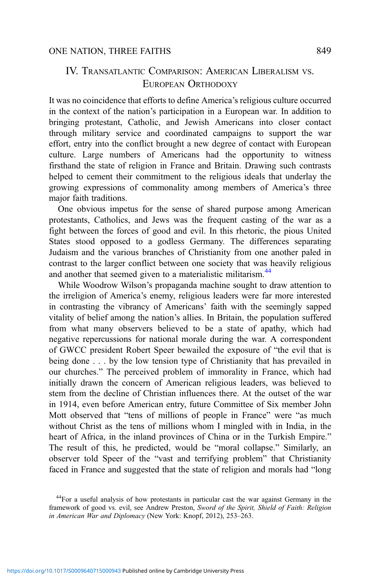# IV. TRANSATLANTIC COMPARISON: AMERICAN LIBERALISM VS. EUROPEAN ORTHODOXY

It was no coincidence that efforts to define America's religious culture occurred in the context of the nation's participation in a European war. In addition to bringing protestant, Catholic, and Jewish Americans into closer contact through military service and coordinated campaigns to support the war effort, entry into the conflict brought a new degree of contact with European culture. Large numbers of Americans had the opportunity to witness firsthand the state of religion in France and Britain. Drawing such contrasts helped to cement their commitment to the religious ideals that underlay the growing expressions of commonality among members of America's three major faith traditions.

One obvious impetus for the sense of shared purpose among American protestants, Catholics, and Jews was the frequent casting of the war as a fight between the forces of good and evil. In this rhetoric, the pious United States stood opposed to a godless Germany. The differences separating Judaism and the various branches of Christianity from one another paled in contrast to the larger conflict between one society that was heavily religious and another that seemed given to a materialistic militarism.<sup>44</sup>

While Woodrow Wilson's propaganda machine sought to draw attention to the irreligion of America's enemy, religious leaders were far more interested in contrasting the vibrancy of Americans' faith with the seemingly sapped vitality of belief among the nation's allies. In Britain, the population suffered from what many observers believed to be a state of apathy, which had negative repercussions for national morale during the war. A correspondent of GWCC president Robert Speer bewailed the exposure of "the evil that is being done . . . by the low tension type of Christianity that has prevailed in our churches." The perceived problem of immorality in France, which had initially drawn the concern of American religious leaders, was believed to stem from the decline of Christian influences there. At the outset of the war in 1914, even before American entry, future Committee of Six member John Mott observed that "tens of millions of people in France" were "as much without Christ as the tens of millions whom I mingled with in India, in the heart of Africa, in the inland provinces of China or in the Turkish Empire." The result of this, he predicted, would be "moral collapse." Similarly, an observer told Speer of the "vast and terrifying problem" that Christianity faced in France and suggested that the state of religion and morals had "long

<sup>44</sup>For a useful analysis of how protestants in particular cast the war against Germany in the framework of good vs. evil, see Andrew Preston, Sword of the Spirit, Shield of Faith: Religion in American War and Diplomacy (New York: Knopf, 2012), 253–263.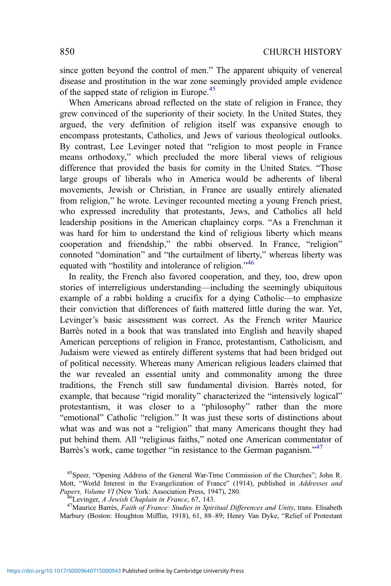since gotten beyond the control of men." The apparent ubiquity of venereal disease and prostitution in the war zone seemingly provided ample evidence of the sapped state of religion in Europe.<sup>45</sup>

When Americans abroad reflected on the state of religion in France, they grew convinced of the superiority of their society. In the United States, they argued, the very definition of religion itself was expansive enough to encompass protestants, Catholics, and Jews of various theological outlooks. By contrast, Lee Levinger noted that "religion to most people in France means orthodoxy," which precluded the more liberal views of religious difference that provided the basis for comity in the United States. "Those large groups of liberals who in America would be adherents of liberal movements, Jewish or Christian, in France are usually entirely alienated from religion," he wrote. Levinger recounted meeting a young French priest, who expressed incredulity that protestants, Jews, and Catholics all held leadership positions in the American chaplaincy corps. "As a Frenchman it was hard for him to understand the kind of religious liberty which means cooperation and friendship," the rabbi observed. In France, "religion" connoted "domination" and "the curtailment of liberty," whereas liberty was equated with "hostility and intolerance of religion."<sup>46</sup>

In reality, the French also favored cooperation, and they, too, drew upon stories of interreligious understanding—including the seemingly ubiquitous example of a rabbi holding a crucifix for a dying Catholic—to emphasize their conviction that differences of faith mattered little during the war. Yet, Levinger's basic assessment was correct. As the French writer Maurice Barrès noted in a book that was translated into English and heavily shaped American perceptions of religion in France, protestantism, Catholicism, and Judaism were viewed as entirely different systems that had been bridged out of political necessity. Whereas many American religious leaders claimed that the war revealed an essential unity and commonality among the three traditions, the French still saw fundamental division. Barrès noted, for example, that because "rigid morality" characterized the "intensively logical" protestantism, it was closer to a "philosophy" rather than the more "emotional" Catholic "religion." It was just these sorts of distinctions about what was and was not a "religion" that many Americans thought they had put behind them. All "religious faiths," noted one American commentator of Barrès's work, came together "in resistance to the German paganism."<sup>47</sup>

<sup>46</sup>Levinger, *A Jewish Chaplain in France*, 67, 143.<br><sup>47</sup>Maurice Barrès, *Faith of France: Studies in Spiritual Differences and Unity*, trans. Elisabeth Marbury (Boston: Houghton Mifflin, 1918), 61, 88–89; Henry Van Dyke, "Relief of Protestant

<sup>45</sup>Speer, "Opening Address of the General War-Time Commission of the Churches"; John R. Mott, "World Interest in the Evangelization of France" (1914), published in Addresses and Papers, Volume VI (New York: Association Press, 1947), 280.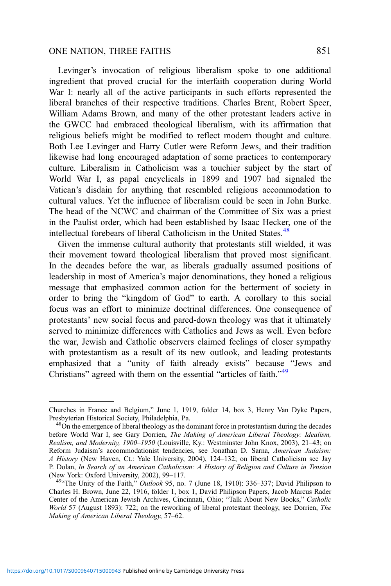## ONE NATION, THREE FAITHS 851

Levinger's invocation of religious liberalism spoke to one additional ingredient that proved crucial for the interfaith cooperation during World War I: nearly all of the active participants in such efforts represented the liberal branches of their respective traditions. Charles Brent, Robert Speer, William Adams Brown, and many of the other protestant leaders active in the GWCC had embraced theological liberalism, with its affirmation that religious beliefs might be modified to reflect modern thought and culture. Both Lee Levinger and Harry Cutler were Reform Jews, and their tradition likewise had long encouraged adaptation of some practices to contemporary culture. Liberalism in Catholicism was a touchier subject by the start of World War I, as papal encyclicals in 1899 and 1907 had signaled the Vatican's disdain for anything that resembled religious accommodation to cultural values. Yet the influence of liberalism could be seen in John Burke. The head of the NCWC and chairman of the Committee of Six was a priest in the Paulist order, which had been established by Isaac Hecker, one of the intellectual forebears of liberal Catholicism in the United States.<sup>48</sup>

Given the immense cultural authority that protestants still wielded, it was their movement toward theological liberalism that proved most significant. In the decades before the war, as liberals gradually assumed positions of leadership in most of America's major denominations, they honed a religious message that emphasized common action for the betterment of society in order to bring the "kingdom of God" to earth. A corollary to this social focus was an effort to minimize doctrinal differences. One consequence of protestants' new social focus and pared-down theology was that it ultimately served to minimize differences with Catholics and Jews as well. Even before the war, Jewish and Catholic observers claimed feelings of closer sympathy with protestantism as a result of its new outlook, and leading protestants emphasized that a "unity of faith already exists" because "Jews and Christians" agreed with them on the essential "articles of faith."<sup>49</sup>

Churches in France and Belgium," June 1, 1919, folder 14, box 3, Henry Van Dyke Papers, Presbyterian Historical Society, Philadelphia, Pa.<br><sup>48</sup>On the emergence of liberal theology as the dominant force in protestantism during the decades

before World War I, see Gary Dorrien, The Making of American Liberal Theology: Idealism, Realism, and Modernity, 1900–1950 (Louisville, Ky.: Westminster John Knox, 2003), 21–43; on Reform Judaism's accommodationist tendencies, see Jonathan D. Sarna, American Judaism: A History (New Haven, Ct.: Yale University, 2004), 124–132; on liberal Catholicism see Jay P. Dolan, *In Search of an American Catholicism: A History of Religion and Culture in Tension* (New York: Oxford University, 2002), 99–117.

<sup>&</sup>lt;sup>49 $\cdot$ </sup>The Unity of the Faith," *Outlook* 95, no. 7 (June 18, 1910): 336–337; David Philipson to Charles H. Brown, June 22, 1916, folder 1, box 1, David Philipson Papers, Jacob Marcus Rader Center of the American Jewish Archives, Cincinnati, Ohio; "Talk About New Books," Catholic World 57 (August 1893): 722; on the reworking of liberal protestant theology, see Dorrien, The Making of American Liberal Theology, 57–62.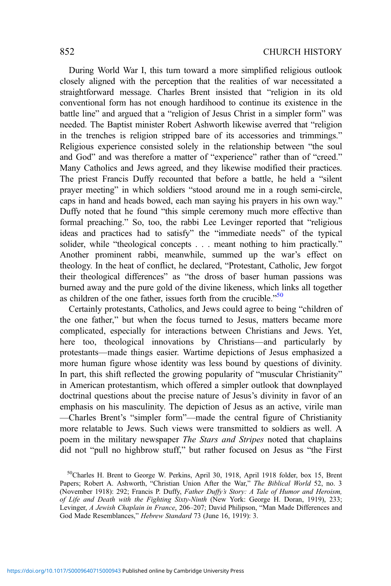During World War I, this turn toward a more simplified religious outlook closely aligned with the perception that the realities of war necessitated a straightforward message. Charles Brent insisted that "religion in its old conventional form has not enough hardihood to continue its existence in the battle line" and argued that a "religion of Jesus Christ in a simpler form" was needed. The Baptist minister Robert Ashworth likewise averred that "religion in the trenches is religion stripped bare of its accessories and trimmings." Religious experience consisted solely in the relationship between "the soul and God" and was therefore a matter of "experience" rather than of "creed." Many Catholics and Jews agreed, and they likewise modified their practices. The priest Francis Duffy recounted that before a battle, he held a "silent prayer meeting" in which soldiers "stood around me in a rough semi-circle, caps in hand and heads bowed, each man saying his prayers in his own way." Duffy noted that he found "this simple ceremony much more effective than formal preaching." So, too, the rabbi Lee Levinger reported that "religious ideas and practices had to satisfy" the "immediate needs" of the typical solider, while "theological concepts . . . meant nothing to him practically." Another prominent rabbi, meanwhile, summed up the war's effect on theology. In the heat of conflict, he declared, "Protestant, Catholic, Jew forgot their theological differences" as "the dross of baser human passions was burned away and the pure gold of the divine likeness, which links all together as children of the one father, issues forth from the crucible."<sup>50</sup>

Certainly protestants, Catholics, and Jews could agree to being "children of the one father," but when the focus turned to Jesus, matters became more complicated, especially for interactions between Christians and Jews. Yet, here too, theological innovations by Christians—and particularly by protestants—made things easier. Wartime depictions of Jesus emphasized a more human figure whose identity was less bound by questions of divinity. In part, this shift reflected the growing popularity of "muscular Christianity" in American protestantism, which offered a simpler outlook that downplayed doctrinal questions about the precise nature of Jesus's divinity in favor of an emphasis on his masculinity. The depiction of Jesus as an active, virile man —Charles Brent's "simpler form"—made the central figure of Christianity more relatable to Jews. Such views were transmitted to soldiers as well. A poem in the military newspaper The Stars and Stripes noted that chaplains did not "pull no highbrow stuff," but rather focused on Jesus as "the First

<sup>50</sup>Charles H. Brent to George W. Perkins, April 30, 1918, April 1918 folder, box 15, Brent Papers; Robert A. Ashworth, "Christian Union After the War," The Biblical World 52, no. 3 (November 1918): 292; Francis P. Duffy, Father Duffy's Story: A Tale of Humor and Heroism, of Life and Death with the Fighting Sixty-Ninth (New York: George H. Doran, 1919), 233; Levinger, A Jewish Chaplain in France, 206–207; David Philipson, "Man Made Differences and God Made Resemblances," Hebrew Standard 73 (June 16, 1919): 3.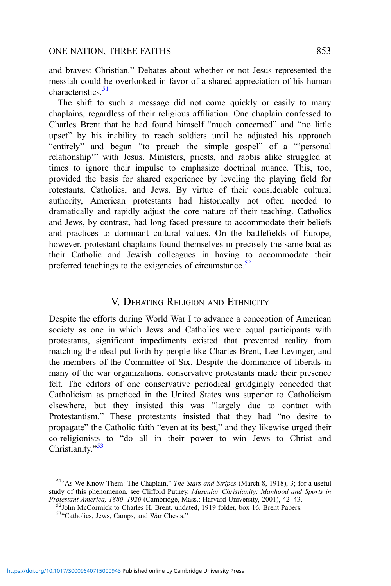and bravest Christian." Debates about whether or not Jesus represented the messiah could be overlooked in favor of a shared appreciation of his human characteristics.<sup>51</sup>

The shift to such a message did not come quickly or easily to many chaplains, regardless of their religious affiliation. One chaplain confessed to Charles Brent that he had found himself "much concerned" and "no little upset" by his inability to reach soldiers until he adjusted his approach "entirely" and began "to preach the simple gospel" of a "'personal relationship'" with Jesus. Ministers, priests, and rabbis alike struggled at times to ignore their impulse to emphasize doctrinal nuance. This, too, provided the basis for shared experience by leveling the playing field for rotestants, Catholics, and Jews. By virtue of their considerable cultural authority, American protestants had historically not often needed to dramatically and rapidly adjust the core nature of their teaching. Catholics and Jews, by contrast, had long faced pressure to accommodate their beliefs and practices to dominant cultural values. On the battlefields of Europe, however, protestant chaplains found themselves in precisely the same boat as their Catholic and Jewish colleagues in having to accommodate their preferred teachings to the exigencies of circumstance. $52$ 

## V. DEBATING RELIGION AND ETHNICITY

Despite the efforts during World War I to advance a conception of American society as one in which Jews and Catholics were equal participants with protestants, significant impediments existed that prevented reality from matching the ideal put forth by people like Charles Brent, Lee Levinger, and the members of the Committee of Six. Despite the dominance of liberals in many of the war organizations, conservative protestants made their presence felt. The editors of one conservative periodical grudgingly conceded that Catholicism as practiced in the United States was superior to Catholicism elsewhere, but they insisted this was "largely due to contact with Protestantism." These protestants insisted that they had "no desire to propagate" the Catholic faith "even at its best," and they likewise urged their co-religionists to "do all in their power to win Jews to Christ and Christianity."<sup>53</sup>

 $51$ <sup>4</sup>As We Know Them: The Chaplain," *The Stars and Stripes* (March 8, 1918), 3; for a useful study of this phenomenon, see Clifford Putney, *Muscular Christianity: Manhood and Sports in*<br>*Protestant America, 1880–1920* (Cambridge, Mass.: Harvard University, 2001), 42–43.

 $^{52}$ John McCormick to Charles H. Brent, undated, 1919 folder, box 16, Brent Papers.  $^{53}$  Catholics, Jews, Camps, and War Chests."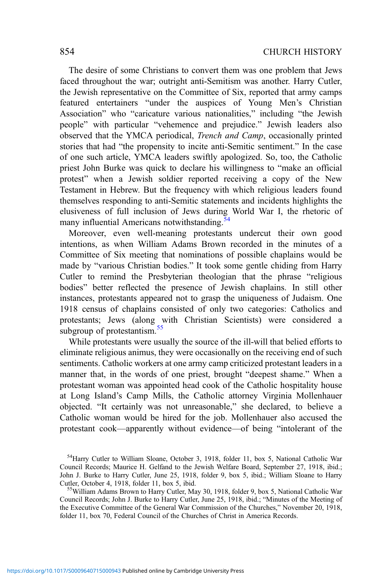The desire of some Christians to convert them was one problem that Jews faced throughout the war; outright anti-Semitism was another. Harry Cutler, the Jewish representative on the Committee of Six, reported that army camps featured entertainers "under the auspices of Young Men's Christian Association" who "caricature various nationalities," including "the Jewish people" with particular "vehemence and prejudice." Jewish leaders also observed that the YMCA periodical, Trench and Camp, occasionally printed stories that had "the propensity to incite anti-Semitic sentiment." In the case of one such article, YMCA leaders swiftly apologized. So, too, the Catholic priest John Burke was quick to declare his willingness to "make an official protest" when a Jewish soldier reported receiving a copy of the New Testament in Hebrew. But the frequency with which religious leaders found themselves responding to anti-Semitic statements and incidents highlights the elusiveness of full inclusion of Jews during World War I, the rhetoric of many influential Americans notwithstanding.<sup>54</sup>

Moreover, even well-meaning protestants undercut their own good intentions, as when William Adams Brown recorded in the minutes of a Committee of Six meeting that nominations of possible chaplains would be made by "various Christian bodies." It took some gentle chiding from Harry Cutler to remind the Presbyterian theologian that the phrase "religious bodies" better reflected the presence of Jewish chaplains. In still other instances, protestants appeared not to grasp the uniqueness of Judaism. One 1918 census of chaplains consisted of only two categories: Catholics and protestants; Jews (along with Christian Scientists) were considered a subgroup of protestantism.<sup>55</sup>

While protestants were usually the source of the ill-will that belied efforts to eliminate religious animus, they were occasionally on the receiving end of such sentiments. Catholic workers at one army camp criticized protestant leaders in a manner that, in the words of one priest, brought "deepest shame." When a protestant woman was appointed head cook of the Catholic hospitality house at Long Island's Camp Mills, the Catholic attorney Virginia Mollenhauer objected. "It certainly was not unreasonable," she declared, to believe a Catholic woman would be hired for the job. Mollenhauer also accused the protestant cook—apparently without evidence—of being "intolerant of the

<sup>54</sup>Harry Cutler to William Sloane, October 3, 1918, folder 11, box 5, National Catholic War Council Records; Maurice H. Gelfand to the Jewish Welfare Board, September 27, 1918, ibid.; John J. Burke to Harry Cutler, June 25, 1918, folder 9, box 5, ibid.; William Sloane to Harry Cutler, October 4, 1918, folder 11, box 5, ibid.

<sup>&</sup>lt;sup>55</sup>William Adams Brown to Harry Cutler, May 30, 1918, folder 9, box 5, National Catholic War Council Records; John J. Burke to Harry Cutler, June 25, 1918, ibid.; "Minutes of the Meeting of the Executive Committee of the General War Commission of the Churches," November 20, 1918, folder 11, box 70, Federal Council of the Churches of Christ in America Records.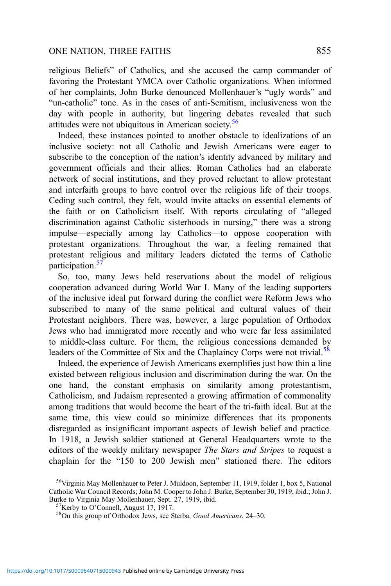#### ONE NATION, THREE FAITHS 855

religious Beliefs" of Catholics, and she accused the camp commander of favoring the Protestant YMCA over Catholic organizations. When informed of her complaints, John Burke denounced Mollenhauer's "ugly words" and "un-catholic" tone. As in the cases of anti-Semitism, inclusiveness won the day with people in authority, but lingering debates revealed that such attitudes were not ubiquitous in American society.<sup>56</sup>

Indeed, these instances pointed to another obstacle to idealizations of an inclusive society: not all Catholic and Jewish Americans were eager to subscribe to the conception of the nation's identity advanced by military and government officials and their allies. Roman Catholics had an elaborate network of social institutions, and they proved reluctant to allow protestant and interfaith groups to have control over the religious life of their troops. Ceding such control, they felt, would invite attacks on essential elements of the faith or on Catholicism itself. With reports circulating of "alleged discrimination against Catholic sisterhoods in nursing," there was a strong impulse—especially among lay Catholics—to oppose cooperation with protestant organizations. Throughout the war, a feeling remained that protestant religious and military leaders dictated the terms of Catholic participation.<sup>57</sup>

So, too, many Jews held reservations about the model of religious cooperation advanced during World War I. Many of the leading supporters of the inclusive ideal put forward during the conflict were Reform Jews who subscribed to many of the same political and cultural values of their Protestant neighbors. There was, however, a large population of Orthodox Jews who had immigrated more recently and who were far less assimilated to middle-class culture. For them, the religious concessions demanded by leaders of the Committee of Six and the Chaplaincy Corps were not trivial.<sup>58</sup>

Indeed, the experience of Jewish Americans exemplifies just how thin a line existed between religious inclusion and discrimination during the war. On the one hand, the constant emphasis on similarity among protestantism, Catholicism, and Judaism represented a growing affirmation of commonality among traditions that would become the heart of the tri-faith ideal. But at the same time, this view could so minimize differences that its proponents disregarded as insignificant important aspects of Jewish belief and practice. In 1918, a Jewish soldier stationed at General Headquarters wrote to the editors of the weekly military newspaper *The Stars and Stripes* to request a chaplain for the "150 to 200 Jewish men" stationed there. The editors

<sup>56</sup>Virginia May Mollenhauer to Peter J. Muldoon, September 11, 1919, folder 1, box 5, National Catholic War Council Records; John M. Cooper to John J. Burke, September 30, 1919, ibid.; John J.

<sup>&</sup>lt;sup>57</sup>Kerby to O'Connell, August 17, 1917. <sup>58</sup>On this group of Orthodox Jews, see Sterba, *Good Americans*, 24–30.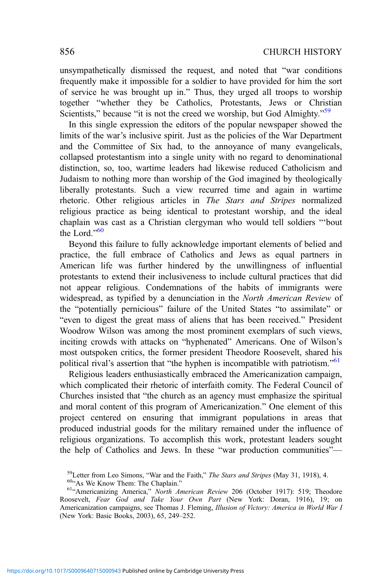unsympathetically dismissed the request, and noted that "war conditions frequently make it impossible for a soldier to have provided for him the sort of service he was brought up in." Thus, they urged all troops to worship together "whether they be Catholics, Protestants, Jews or Christian Scientists," because "it is not the creed we worship, but God Almighty."<sup>59</sup>

In this single expression the editors of the popular newspaper showed the limits of the war's inclusive spirit. Just as the policies of the War Department and the Committee of Six had, to the annoyance of many evangelicals, collapsed protestantism into a single unity with no regard to denominational distinction, so, too, wartime leaders had likewise reduced Catholicism and Judaism to nothing more than worship of the God imagined by theologically liberally protestants. Such a view recurred time and again in wartime rhetoric. Other religious articles in The Stars and Stripes normalized religious practice as being identical to protestant worship, and the ideal chaplain was cast as a Christian clergyman who would tell soldiers "'bout the Lord."<sup>60</sup>

Beyond this failure to fully acknowledge important elements of belied and practice, the full embrace of Catholics and Jews as equal partners in American life was further hindered by the unwillingness of influential protestants to extend their inclusiveness to include cultural practices that did not appear religious. Condemnations of the habits of immigrants were widespread, as typified by a denunciation in the North American Review of the "potentially pernicious" failure of the United States "to assimilate" or "even to digest the great mass of aliens that has been received." President Woodrow Wilson was among the most prominent exemplars of such views, inciting crowds with attacks on "hyphenated" Americans. One of Wilson's most outspoken critics, the former president Theodore Roosevelt, shared his political rival's assertion that "the hyphen is incompatible with patriotism."<sup>61</sup>

Religious leaders enthusiastically embraced the Americanization campaign, which complicated their rhetoric of interfaith comity. The Federal Council of Churches insisted that "the church as an agency must emphasize the spiritual and moral content of this program of Americanization." One element of this project centered on ensuring that immigrant populations in areas that produced industrial goods for the military remained under the influence of religious organizations. To accomplish this work, protestant leaders sought the help of Catholics and Jews. In these "war production communities"—

<sup>&</sup>lt;sup>59</sup>Letter from Leo Simons, "War and the Faith," *The Stars and Stripes* (May 31, 1918), 4.<br><sup>604</sup>As We Know Them: The Chaplain."<br><sup>614</sup>Americanizing America," *North American Review* 206 (October 1917): 519; Theodore

Roosevelt, Fear God and Take Your Own Part (New York: Doran, 1916), 19; on Americanization campaigns, see Thomas J. Fleming, Illusion of Victory: America in World War I (New York: Basic Books, 2003), 65, 249–252.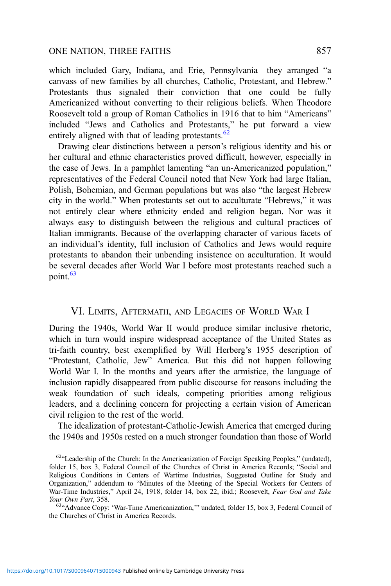#### ONE NATION, THREE FAITHS 857

which included Gary, Indiana, and Erie, Pennsylvania—they arranged "a canvass of new families by all churches, Catholic, Protestant, and Hebrew." Protestants thus signaled their conviction that one could be fully Americanized without converting to their religious beliefs. When Theodore Roosevelt told a group of Roman Catholics in 1916 that to him "Americans" included "Jews and Catholics and Protestants," he put forward a view entirely aligned with that of leading protestants. $62$ 

Drawing clear distinctions between a person's religious identity and his or her cultural and ethnic characteristics proved difficult, however, especially in the case of Jews. In a pamphlet lamenting "an un-Americanized population," representatives of the Federal Council noted that New York had large Italian, Polish, Bohemian, and German populations but was also "the largest Hebrew city in the world." When protestants set out to acculturate "Hebrews," it was not entirely clear where ethnicity ended and religion began. Nor was it always easy to distinguish between the religious and cultural practices of Italian immigrants. Because of the overlapping character of various facets of an individual's identity, full inclusion of Catholics and Jews would require protestants to abandon their unbending insistence on acculturation. It would be several decades after World War I before most protestants reached such a point.<sup>63</sup>

## VI. LIMITS, AFTERMATH, AND LEGACIES OF WORLD WAR I

During the 1940s, World War II would produce similar inclusive rhetoric, which in turn would inspire widespread acceptance of the United States as tri-faith country, best exemplified by Will Herberg's 1955 description of "Protestant, Catholic, Jew" America. But this did not happen following World War I. In the months and years after the armistice, the language of inclusion rapidly disappeared from public discourse for reasons including the weak foundation of such ideals, competing priorities among religious leaders, and a declining concern for projecting a certain vision of American civil religion to the rest of the world.

The idealization of protestant-Catholic-Jewish America that emerged during the 1940s and 1950s rested on a much stronger foundation than those of World

 $62$ "Leadership of the Church: In the Americanization of Foreign Speaking Peoples," (undated), folder 15, box 3, Federal Council of the Churches of Christ in America Records; "Social and Religious Conditions in Centers of Wartime Industries, Suggested Outline for Study and Organization," addendum to "Minutes of the Meeting of the Special Workers for Centers of War-Time Industries," April 24, 1918, folder 14, box 22, ibid.; Roosevelt, Fear God and Take Your Own Part, 358.<br><sup>63</sup>"Advance Copy: 'War-Time Americanization,'" undated, folder 15, box 3, Federal Council of

the Churches of Christ in America Records.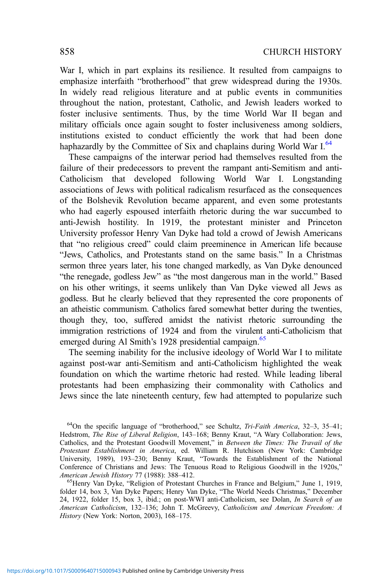War I, which in part explains its resilience. It resulted from campaigns to emphasize interfaith "brotherhood" that grew widespread during the 1930s. In widely read religious literature and at public events in communities throughout the nation, protestant, Catholic, and Jewish leaders worked to foster inclusive sentiments. Thus, by the time World War II began and military officials once again sought to foster inclusiveness among soldiers, institutions existed to conduct efficiently the work that had been done haphazardly by the Committee of Six and chaplains during World War I.<sup>64</sup>

These campaigns of the interwar period had themselves resulted from the failure of their predecessors to prevent the rampant anti-Semitism and anti-Catholicism that developed following World War I. Longstanding associations of Jews with political radicalism resurfaced as the consequences of the Bolshevik Revolution became apparent, and even some protestants who had eagerly espoused interfaith rhetoric during the war succumbed to anti-Jewish hostility. In 1919, the protestant minister and Princeton University professor Henry Van Dyke had told a crowd of Jewish Americans that "no religious creed" could claim preeminence in American life because "Jews, Catholics, and Protestants stand on the same basis." In a Christmas sermon three years later, his tone changed markedly, as Van Dyke denounced "the renegade, godless Jew" as "the most dangerous man in the world." Based on his other writings, it seems unlikely than Van Dyke viewed all Jews as godless. But he clearly believed that they represented the core proponents of an atheistic communism. Catholics fared somewhat better during the twenties, though they, too, suffered amidst the nativist rhetoric surrounding the immigration restrictions of 1924 and from the virulent anti-Catholicism that emerged during Al Smith's 1928 presidential campaign.<sup>65</sup>

The seeming inability for the inclusive ideology of World War I to militate against post-war anti-Semitism and anti-Catholicism highlighted the weak foundation on which the wartime rhetoric had rested. While leading liberal protestants had been emphasizing their commonality with Catholics and Jews since the late nineteenth century, few had attempted to popularize such

 $64$ On the specific language of "brotherhood," see Schultz, *Tri-Faith America*, 32–3, 35–41; Hedstrom, The Rise of Liberal Religion, 143–168; Benny Kraut, "A Wary Collaboration: Jews, Catholics, and the Protestant Goodwill Movement," in Between the Times: The Travail of the Protestant Establishment in America, ed. William R. Hutchison (New York: Cambridge University, 1989), 193–230; Benny Kraut, "Towards the Establishment of the National Conference of Christians and Jews: The Tenuous Road to Religious Goodwill in the 1920s," *American Jewish History* 77 (1988): 388–412.

 $<sup>65</sup>$ Henry Van Dyke, "Religion of Protestant Churches in France and Belgium," June 1, 1919,</sup> folder 14, box 3, Van Dyke Papers; Henry Van Dyke, "The World Needs Christmas," December 24, 1922, folder 15, box 3, ibid.; on post-WWI anti-Catholicism, see Dolan, In Search of an American Catholicism, 132–136; John T. McGreevy, Catholicism and American Freedom: A History (New York: Norton, 2003), 168–175.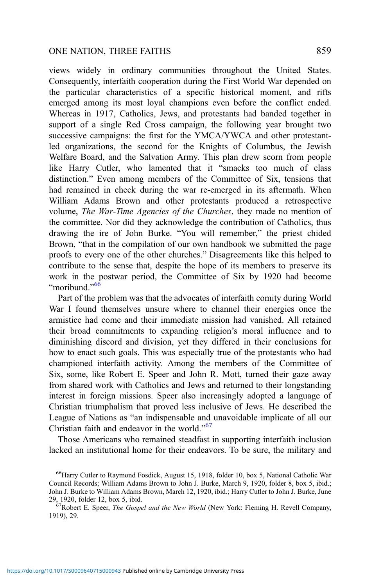views widely in ordinary communities throughout the United States. Consequently, interfaith cooperation during the First World War depended on the particular characteristics of a specific historical moment, and rifts emerged among its most loyal champions even before the conflict ended. Whereas in 1917, Catholics, Jews, and protestants had banded together in support of a single Red Cross campaign, the following year brought two successive campaigns: the first for the YMCA/YWCA and other protestantled organizations, the second for the Knights of Columbus, the Jewish Welfare Board, and the Salvation Army. This plan drew scorn from people like Harry Cutler, who lamented that it "smacks too much of class distinction." Even among members of the Committee of Six, tensions that had remained in check during the war re-emerged in its aftermath. When William Adams Brown and other protestants produced a retrospective volume, The War-Time Agencies of the Churches, they made no mention of the committee. Nor did they acknowledge the contribution of Catholics, thus drawing the ire of John Burke. "You will remember," the priest chided Brown, "that in the compilation of our own handbook we submitted the page proofs to every one of the other churches." Disagreements like this helped to contribute to the sense that, despite the hope of its members to preserve its work in the postwar period, the Committee of Six by 1920 had become "moribund."<sup>66</sup>

Part of the problem was that the advocates of interfaith comity during World War I found themselves unsure where to channel their energies once the armistice had come and their immediate mission had vanished. All retained their broad commitments to expanding religion's moral influence and to diminishing discord and division, yet they differed in their conclusions for how to enact such goals. This was especially true of the protestants who had championed interfaith activity. Among the members of the Committee of Six, some, like Robert E. Speer and John R. Mott, turned their gaze away from shared work with Catholics and Jews and returned to their longstanding interest in foreign missions. Speer also increasingly adopted a language of Christian triumphalism that proved less inclusive of Jews. He described the League of Nations as "an indispensable and unavoidable implicate of all our Christian faith and endeavor in the world." 67

Those Americans who remained steadfast in supporting interfaith inclusion lacked an institutional home for their endeavors. To be sure, the military and

<sup>66</sup>Harry Cutler to Raymond Fosdick, August 15, 1918, folder 10, box 5, National Catholic War Council Records; William Adams Brown to John J. Burke, March 9, 1920, folder 8, box 5, ibid.; John J. Burke to William Adams Brown, March 12, 1920, ibid.; Harry Cutler to John J. Burke, June 29, 1920, folder 12, box 5, ibid.  $^{67}$ Robert E. Speer, *The Gospel and the New World* (New York: Fleming H. Revell Company,

<sup>1919), 29.</sup>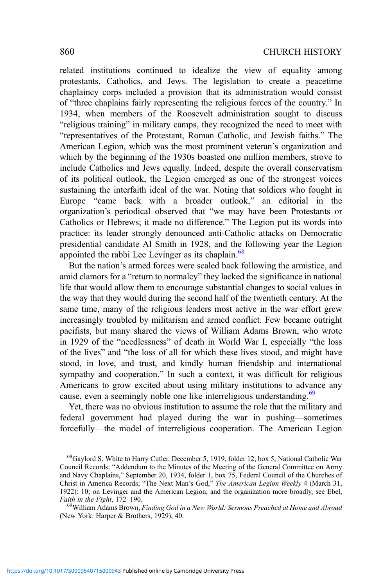related institutions continued to idealize the view of equality among protestants, Catholics, and Jews. The legislation to create a peacetime chaplaincy corps included a provision that its administration would consist of "three chaplains fairly representing the religious forces of the country." In 1934, when members of the Roosevelt administration sought to discuss "religious training" in military camps, they recognized the need to meet with "representatives of the Protestant, Roman Catholic, and Jewish faiths." The American Legion, which was the most prominent veteran's organization and which by the beginning of the 1930s boasted one million members, strove to include Catholics and Jews equally. Indeed, despite the overall conservatism of its political outlook, the Legion emerged as one of the strongest voices sustaining the interfaith ideal of the war. Noting that soldiers who fought in Europe "came back with a broader outlook," an editorial in the organization's periodical observed that "we may have been Protestants or Catholics or Hebrews; it made no difference." The Legion put its words into practice: its leader strongly denounced anti-Catholic attacks on Democratic presidential candidate Al Smith in 1928, and the following year the Legion appointed the rabbi Lee Levinger as its chaplain.<sup>68</sup>

But the nation's armed forces were scaled back following the armistice, and amid clamors for a "return to normalcy" they lacked the significance in national life that would allow them to encourage substantial changes to social values in the way that they would during the second half of the twentieth century. At the same time, many of the religious leaders most active in the war effort grew increasingly troubled by militarism and armed conflict. Few became outright pacifists, but many shared the views of William Adams Brown, who wrote in 1929 of the "needlessness" of death in World War I, especially "the loss of the lives" and "the loss of all for which these lives stood, and might have stood, in love, and trust, and kindly human friendship and international sympathy and cooperation." In such a context, it was difficult for religious Americans to grow excited about using military institutions to advance any cause, even a seemingly noble one like interreligious understanding.<sup>69</sup>

Yet, there was no obvious institution to assume the role that the military and federal government had played during the war in pushing—sometimes forcefully—the model of interreligious cooperation. The American Legion

<sup>&</sup>lt;sup>68</sup>Gaylord S. White to Harry Cutler, December 5, 1919, folder 12, box 5, National Catholic War Council Records; "Addendum to the Minutes of the Meeting of the General Committee on Army and Navy Chaplains," September 20, 1934, folder 1, box 75, Federal Council of the Churches of Christ in America Records; "The Next Man's God," The American Legion Weekly 4 (March 31, 1922): 10; on Levinger and the American Legion, and the organization more broadly, see Ebel, Faith in the Fight, 172–190.<br><sup>69</sup>William Adams Brown, Finding God in a New World: Sermons Preached at Home and Abroad

<sup>(</sup>New York: Harper & Brothers, 1929), 40.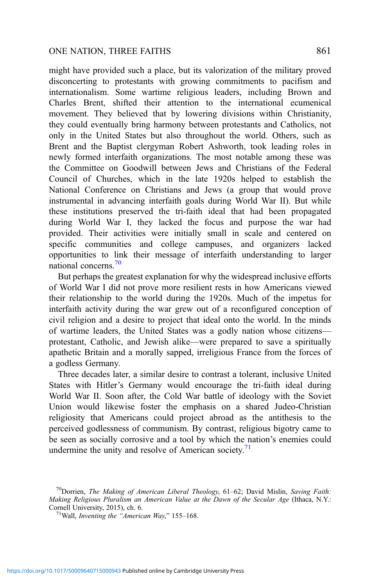might have provided such a place, but its valorization of the military proved disconcerting to protestants with growing commitments to pacifism and internationalism. Some wartime religious leaders, including Brown and Charles Brent, shifted their attention to the international ecumenical movement. They believed that by lowering divisions within Christianity, they could eventually bring harmony between protestants and Catholics, not only in the United States but also throughout the world. Others, such as Brent and the Baptist clergyman Robert Ashworth, took leading roles in newly formed interfaith organizations. The most notable among these was the Committee on Goodwill between Jews and Christians of the Federal Council of Churches, which in the late 1920s helped to establish the National Conference on Christians and Jews (a group that would prove instrumental in advancing interfaith goals during World War II). But while these institutions preserved the tri-faith ideal that had been propagated during World War I, they lacked the focus and purpose the war had provided. Their activities were initially small in scale and centered on specific communities and college campuses, and organizers lacked opportunities to link their message of interfaith understanding to larger national concerns.70

But perhaps the greatest explanation for why the widespread inclusive efforts of World War I did not prove more resilient rests in how Americans viewed their relationship to the world during the 1920s. Much of the impetus for interfaith activity during the war grew out of a reconfigured conception of civil religion and a desire to project that ideal onto the world. In the minds of wartime leaders, the United States was a godly nation whose citizens protestant, Catholic, and Jewish alike—were prepared to save a spiritually apathetic Britain and a morally sapped, irreligious France from the forces of a godless Germany.

Three decades later, a similar desire to contrast a tolerant, inclusive United States with Hitler's Germany would encourage the tri-faith ideal during World War II. Soon after, the Cold War battle of ideology with the Soviet Union would likewise foster the emphasis on a shared Judeo-Christian religiosity that Americans could project abroad as the antithesis to the perceived godlessness of communism. By contrast, religious bigotry came to be seen as socially corrosive and a tool by which the nation's enemies could undermine the unity and resolve of American society. $\frac{71}{1}$ 

<sup>&</sup>lt;sup>70</sup>Dorrien, The Making of American Liberal Theology, 61–62; David Mislin, Saving Faith: Making Religious Pluralism an American Value at the Dawn of the Secular Age (Ithaca, N.Y.: Cornell University, 2015), ch. 6.

<sup>&</sup>lt;sup>71</sup> Wall, Inventing the "American Way," 155–168.